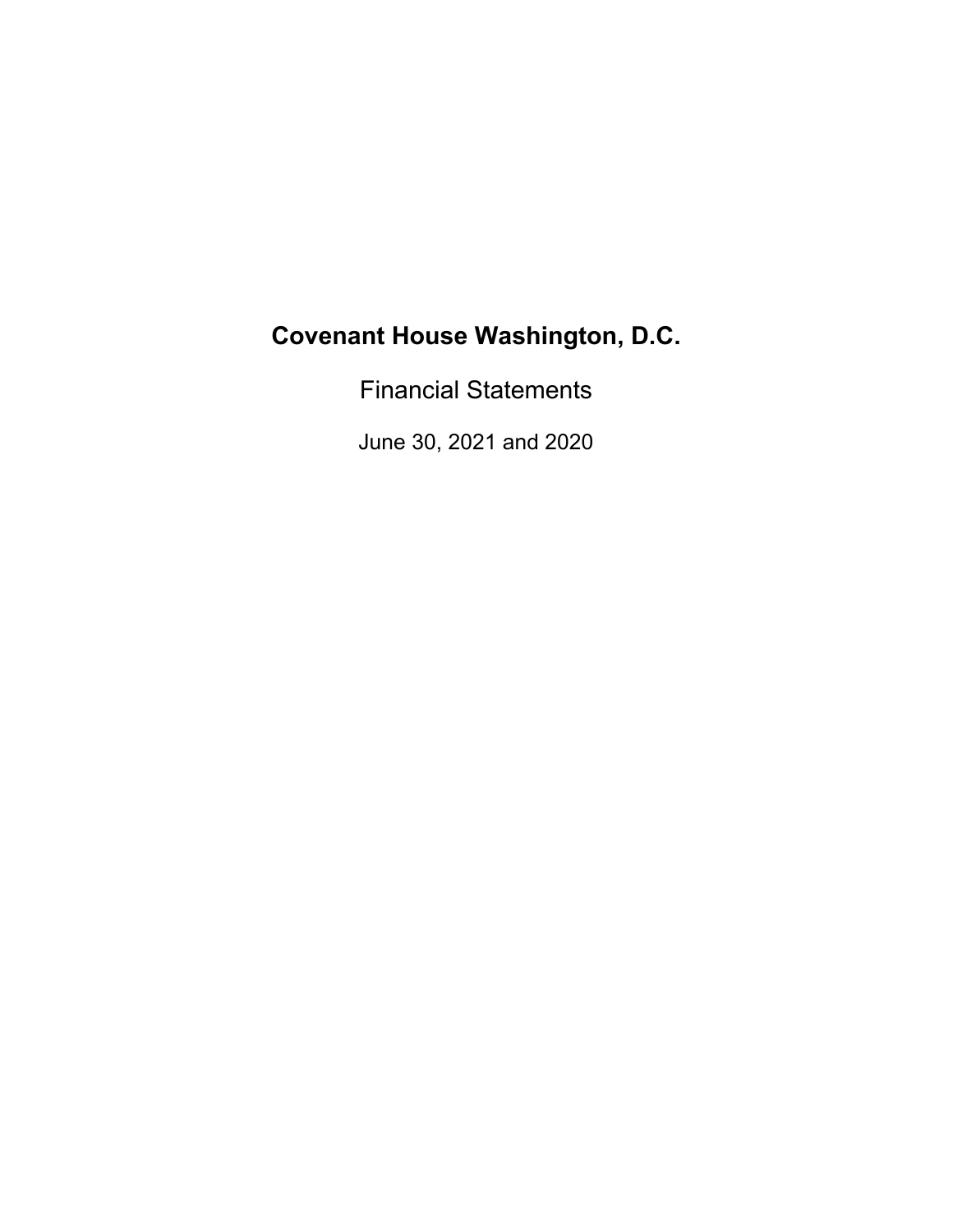Financial Statements

June 30, 2021 and 2020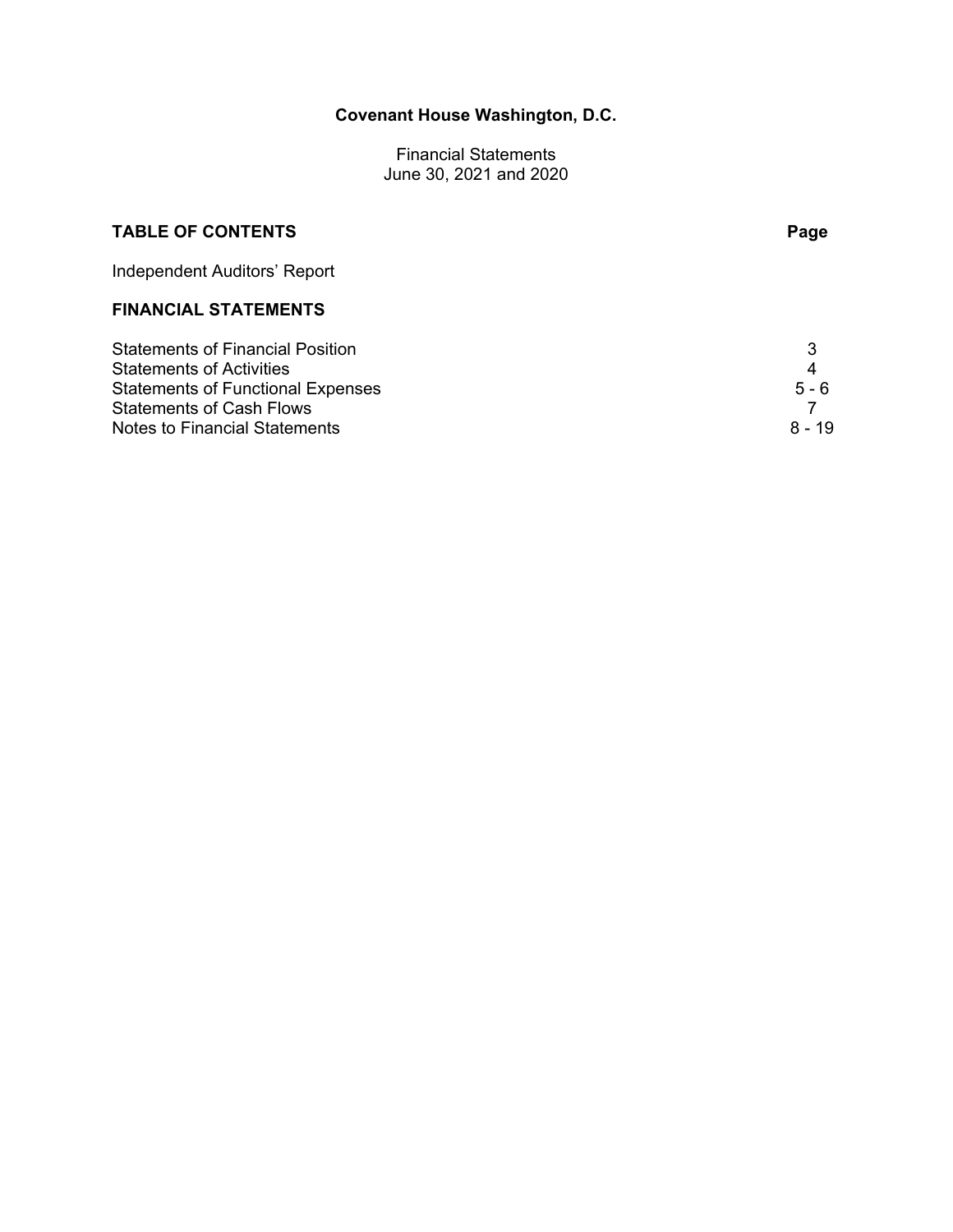Financial Statements June 30, 2021 and 2020

# **TABLE OF CONTENTS** Page

Independent Auditors' Report

# **FINANCIAL STATEMENTS**

| Statements of Financial Position  |         |
|-----------------------------------|---------|
| Statements of Activities          | 4       |
| Statements of Functional Expenses | $5 - 6$ |
| Statements of Cash Flows          |         |
| Notes to Financial Statements     | 8 - 19  |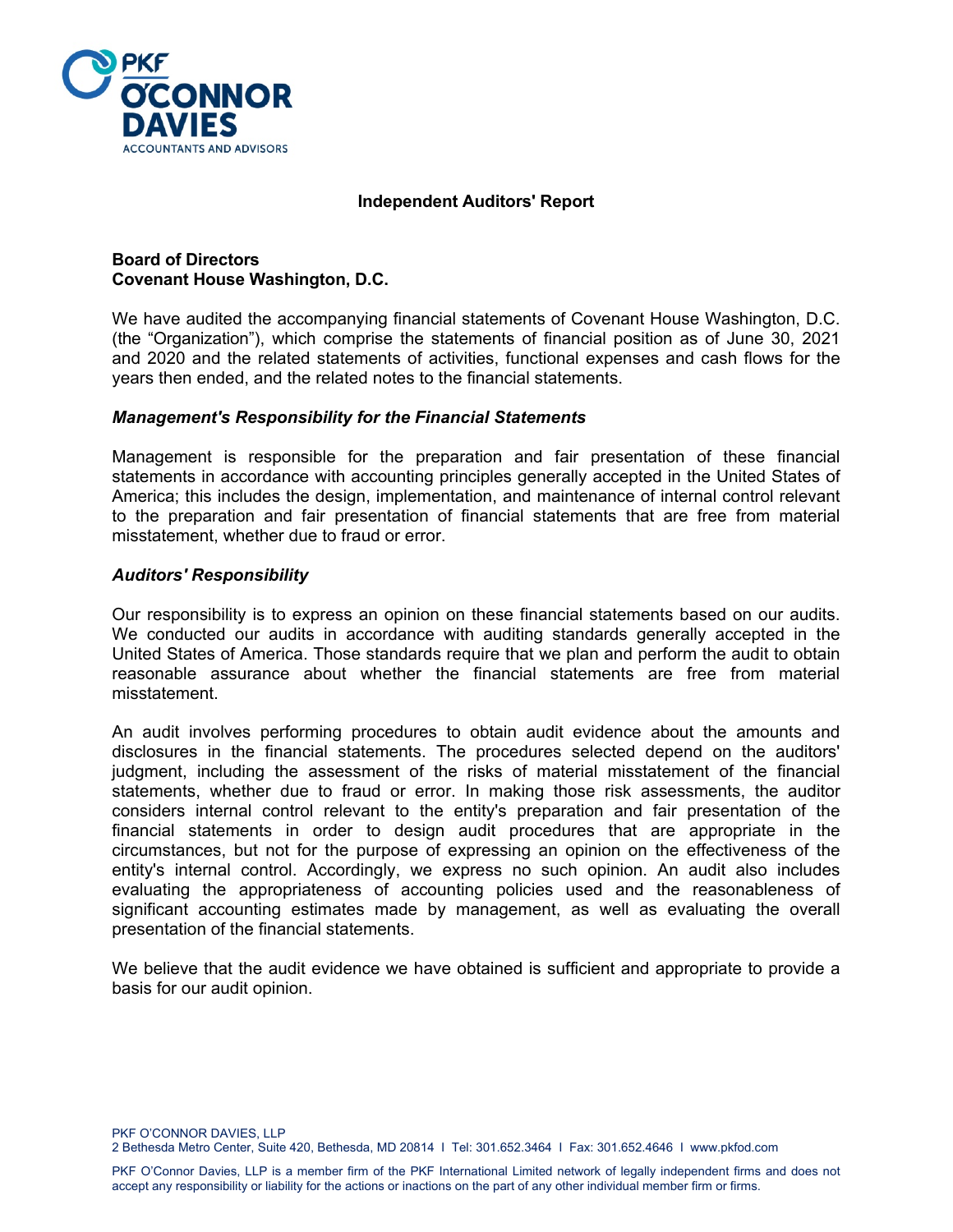

### **Independent Auditors' Report**

### **Board of Directors Covenant House Washington, D.C.**

We have audited the accompanying financial statements of Covenant House Washington, D.C. (the "Organization"), which comprise the statements of financial position as of June 30, 2021 and 2020 and the related statements of activities, functional expenses and cash flows for the years then ended, and the related notes to the financial statements.

### *Management's Responsibility for the Financial Statements*

Management is responsible for the preparation and fair presentation of these financial statements in accordance with accounting principles generally accepted in the United States of America; this includes the design, implementation, and maintenance of internal control relevant to the preparation and fair presentation of financial statements that are free from material misstatement, whether due to fraud or error.

#### *Auditors' Responsibility*

Our responsibility is to express an opinion on these financial statements based on our audits. We conducted our audits in accordance with auditing standards generally accepted in the United States of America. Those standards require that we plan and perform the audit to obtain reasonable assurance about whether the financial statements are free from material misstatement.

An audit involves performing procedures to obtain audit evidence about the amounts and disclosures in the financial statements. The procedures selected depend on the auditors' judgment, including the assessment of the risks of material misstatement of the financial statements, whether due to fraud or error. In making those risk assessments, the auditor considers internal control relevant to the entity's preparation and fair presentation of the financial statements in order to design audit procedures that are appropriate in the circumstances, but not for the purpose of expressing an opinion on the effectiveness of the entity's internal control. Accordingly, we express no such opinion. An audit also includes evaluating the appropriateness of accounting policies used and the reasonableness of significant accounting estimates made by management, as well as evaluating the overall presentation of the financial statements.

We believe that the audit evidence we have obtained is sufficient and appropriate to provide a basis for our audit opinion.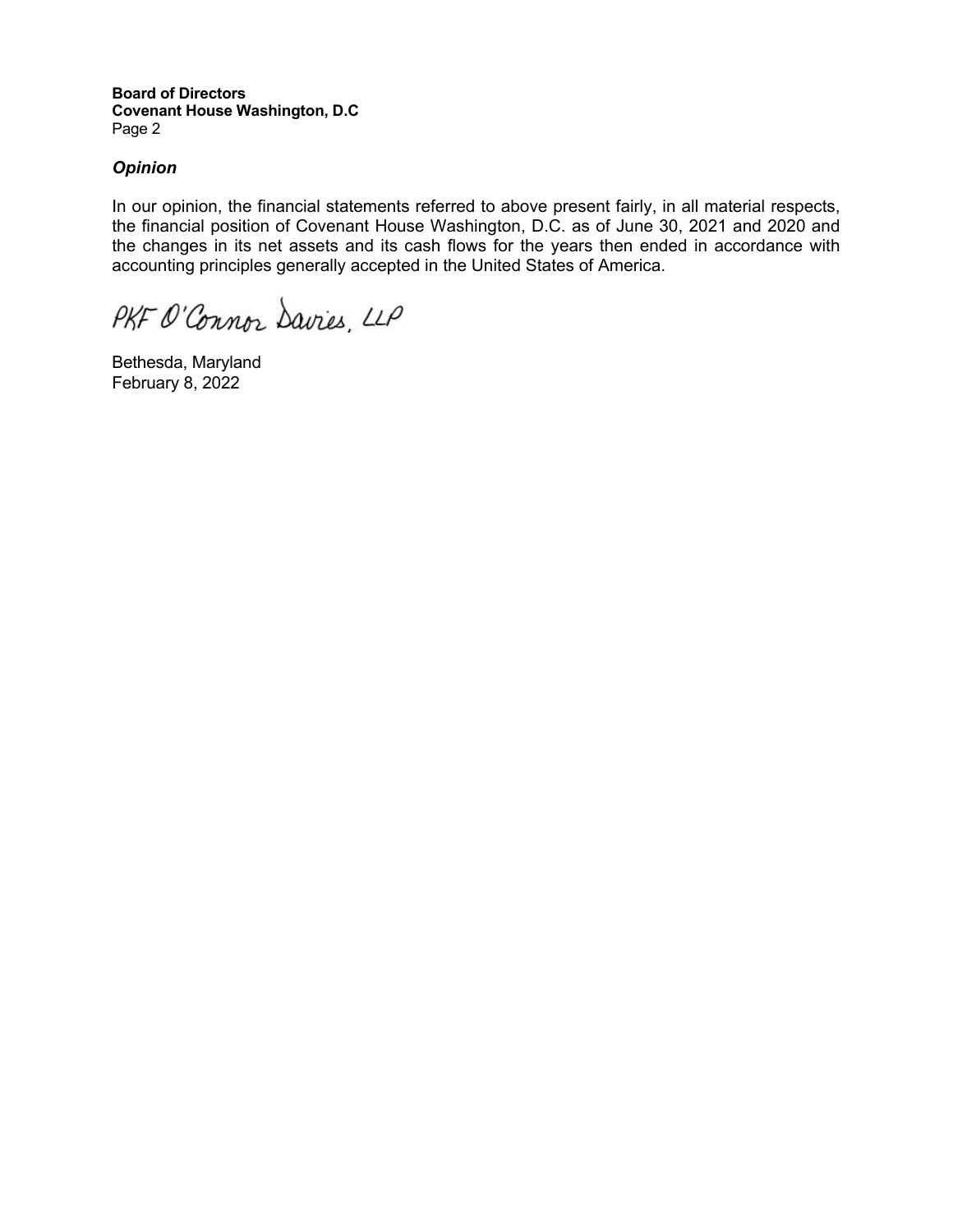**Board of Directors Covenant House Washington, D.C**  Page 2

# *Opinion*

In our opinion, the financial statements referred to above present fairly, in all material respects, the financial position of Covenant House Washington, D.C. as of June 30, 2021 and 2020 and the changes in its net assets and its cash flows for the years then ended in accordance with accounting principles generally accepted in the United States of America.

PKF O'Connor Davies, LLP

Bethesda, Maryland February 8, 2022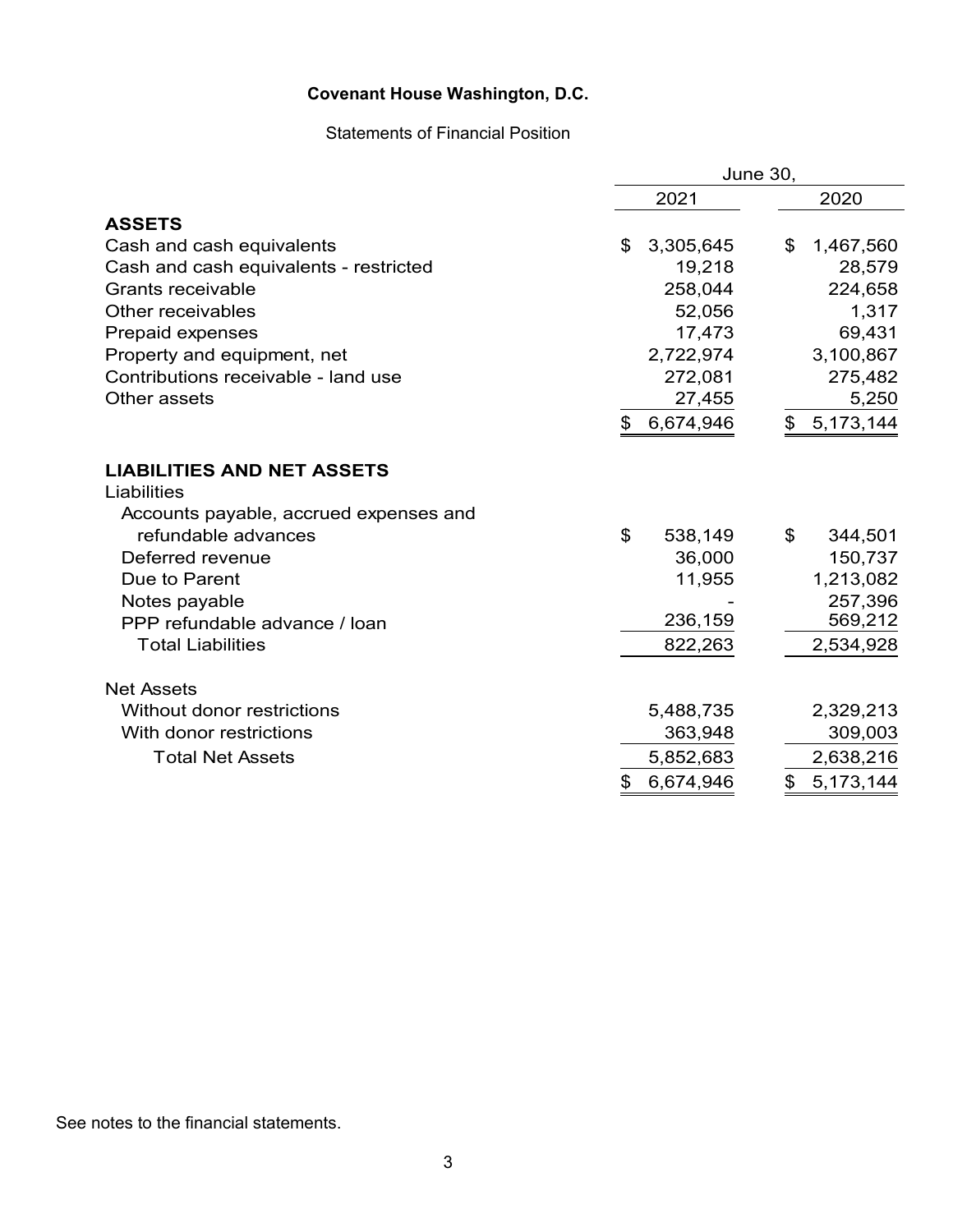# Statements of Financial Position

|                                         | <b>June 30,</b> |                      |  |  |  |
|-----------------------------------------|-----------------|----------------------|--|--|--|
|                                         | 2021            | 2020                 |  |  |  |
| <b>ASSETS</b>                           |                 |                      |  |  |  |
| Cash and cash equivalents               | 3,305,645<br>\$ | \$<br>1,467,560      |  |  |  |
| Cash and cash equivalents - restricted  | 19,218          | 28,579               |  |  |  |
| Grants receivable                       | 258,044         | 224,658              |  |  |  |
| Other receivables                       | 52,056          | 1,317                |  |  |  |
| Prepaid expenses                        | 17,473          | 69,431               |  |  |  |
| Property and equipment, net             | 2,722,974       | 3,100,867            |  |  |  |
| Contributions receivable - land use     | 272,081         | 275,482              |  |  |  |
| Other assets                            | 27,455          | 5,250                |  |  |  |
|                                         | 6,674,946<br>\$ | 5,173,144<br>\$      |  |  |  |
| <b>LIABILITIES AND NET ASSETS</b>       |                 |                      |  |  |  |
| Liabilities                             |                 |                      |  |  |  |
| Accounts payable, accrued expenses and  |                 |                      |  |  |  |
| refundable advances<br>Deferred revenue | \$<br>538,149   | \$<br>344,501        |  |  |  |
| Due to Parent                           | 36,000          | 150,737<br>1,213,082 |  |  |  |
| Notes payable                           | 11,955          | 257,396              |  |  |  |
| PPP refundable advance / loan           | 236,159         | 569,212              |  |  |  |
| <b>Total Liabilities</b>                | 822,263         | 2,534,928            |  |  |  |
|                                         |                 |                      |  |  |  |
| <b>Net Assets</b>                       |                 |                      |  |  |  |
| Without donor restrictions              | 5,488,735       | 2,329,213            |  |  |  |
| With donor restrictions                 | 363,948         | 309,003              |  |  |  |
| <b>Total Net Assets</b>                 | 5,852,683       | 2,638,216            |  |  |  |
|                                         | 6,674,946<br>\$ | \$<br>5,173,144      |  |  |  |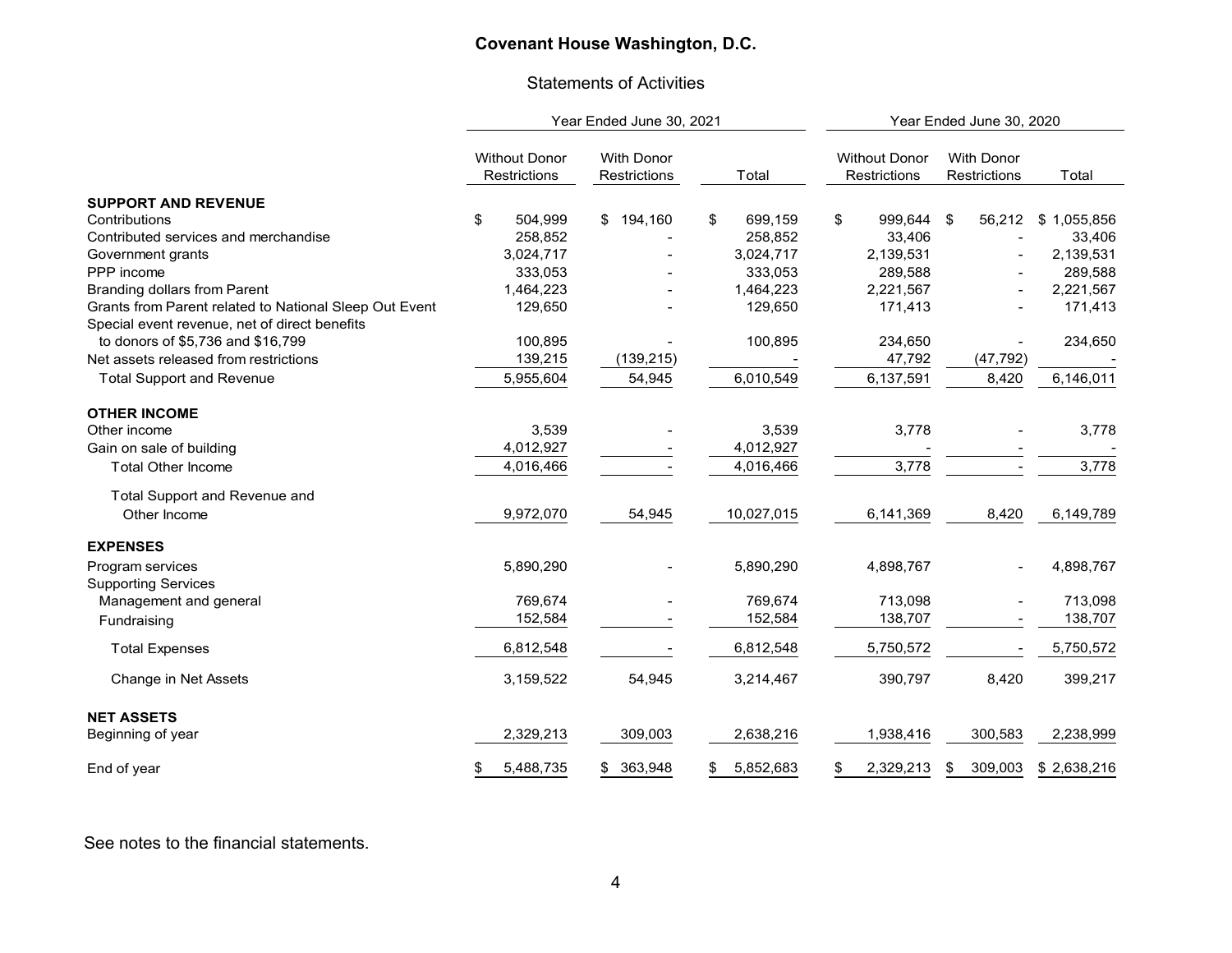#### Statements of Activities

|                                                        |                                      | Year Ended June 30, 2021          |                 | Year Ended June 30, 2020             |                                   |             |  |
|--------------------------------------------------------|--------------------------------------|-----------------------------------|-----------------|--------------------------------------|-----------------------------------|-------------|--|
|                                                        | <b>Without Donor</b><br>Restrictions | <b>With Donor</b><br>Restrictions | Total           | <b>Without Donor</b><br>Restrictions | <b>With Donor</b><br>Restrictions | Total       |  |
| <b>SUPPORT AND REVENUE</b>                             |                                      |                                   |                 |                                      |                                   |             |  |
| Contributions                                          | \$<br>504,999                        | 194,160<br>\$                     | \$<br>699,159   | \$<br>999,644 \$                     | 56,212                            | \$1,055,856 |  |
| Contributed services and merchandise                   | 258,852                              |                                   | 258,852         | 33,406                               |                                   | 33,406      |  |
| Government grants                                      | 3,024,717                            |                                   | 3,024,717       | 2,139,531                            |                                   | 2,139,531   |  |
| PPP income                                             | 333,053                              |                                   | 333,053         | 289,588                              |                                   | 289,588     |  |
| <b>Branding dollars from Parent</b>                    | 1,464,223                            |                                   | 1,464,223       | 2,221,567                            |                                   | 2,221,567   |  |
| Grants from Parent related to National Sleep Out Event | 129,650                              |                                   | 129,650         | 171,413                              |                                   | 171,413     |  |
| Special event revenue, net of direct benefits          |                                      |                                   |                 |                                      |                                   |             |  |
| to donors of \$5,736 and \$16,799                      | 100,895                              |                                   | 100,895         | 234,650                              |                                   | 234,650     |  |
| Net assets released from restrictions                  | 139,215                              | (139, 215)                        |                 | 47,792                               | (47, 792)                         |             |  |
| <b>Total Support and Revenue</b>                       | 5,955,604                            | 54,945                            | 6,010,549       | 6,137,591                            | 8,420                             | 6,146,011   |  |
| <b>OTHER INCOME</b>                                    |                                      |                                   |                 |                                      |                                   |             |  |
| Other income                                           | 3,539                                |                                   | 3,539           | 3,778                                |                                   | 3,778       |  |
| Gain on sale of building                               | 4,012,927                            |                                   | 4,012,927       |                                      |                                   |             |  |
| <b>Total Other Income</b>                              | 4,016,466                            |                                   | 4,016,466       | 3,778                                |                                   | 3,778       |  |
| Total Support and Revenue and                          |                                      |                                   |                 |                                      |                                   |             |  |
| Other Income                                           | 9,972,070                            | 54,945                            | 10,027,015      | 6,141,369                            | 8,420                             | 6,149,789   |  |
| <b>EXPENSES</b>                                        |                                      |                                   |                 |                                      |                                   |             |  |
| Program services<br><b>Supporting Services</b>         | 5,890,290                            |                                   | 5,890,290       | 4,898,767                            |                                   | 4,898,767   |  |
| Management and general                                 | 769,674                              |                                   | 769,674         | 713,098                              |                                   | 713,098     |  |
| Fundraising                                            | 152,584                              |                                   | 152,584         | 138,707                              |                                   | 138,707     |  |
| <b>Total Expenses</b>                                  | 6,812,548                            |                                   | 6,812,548       | 5,750,572                            |                                   | 5,750,572   |  |
| Change in Net Assets                                   | 3,159,522                            | 54,945                            | 3,214,467       | 390,797                              | 8,420                             | 399,217     |  |
| <b>NET ASSETS</b>                                      |                                      |                                   |                 |                                      |                                   |             |  |
| Beginning of year                                      | 2,329,213                            | 309,003                           | 2,638,216       | 1,938,416                            | 300,583                           | 2,238,999   |  |
| End of year                                            | 5,488,735<br>S                       | 363,948<br>\$                     | 5,852,683<br>\$ | 2,329,213<br>\$                      | 309,003<br>\$                     | \$2,638,216 |  |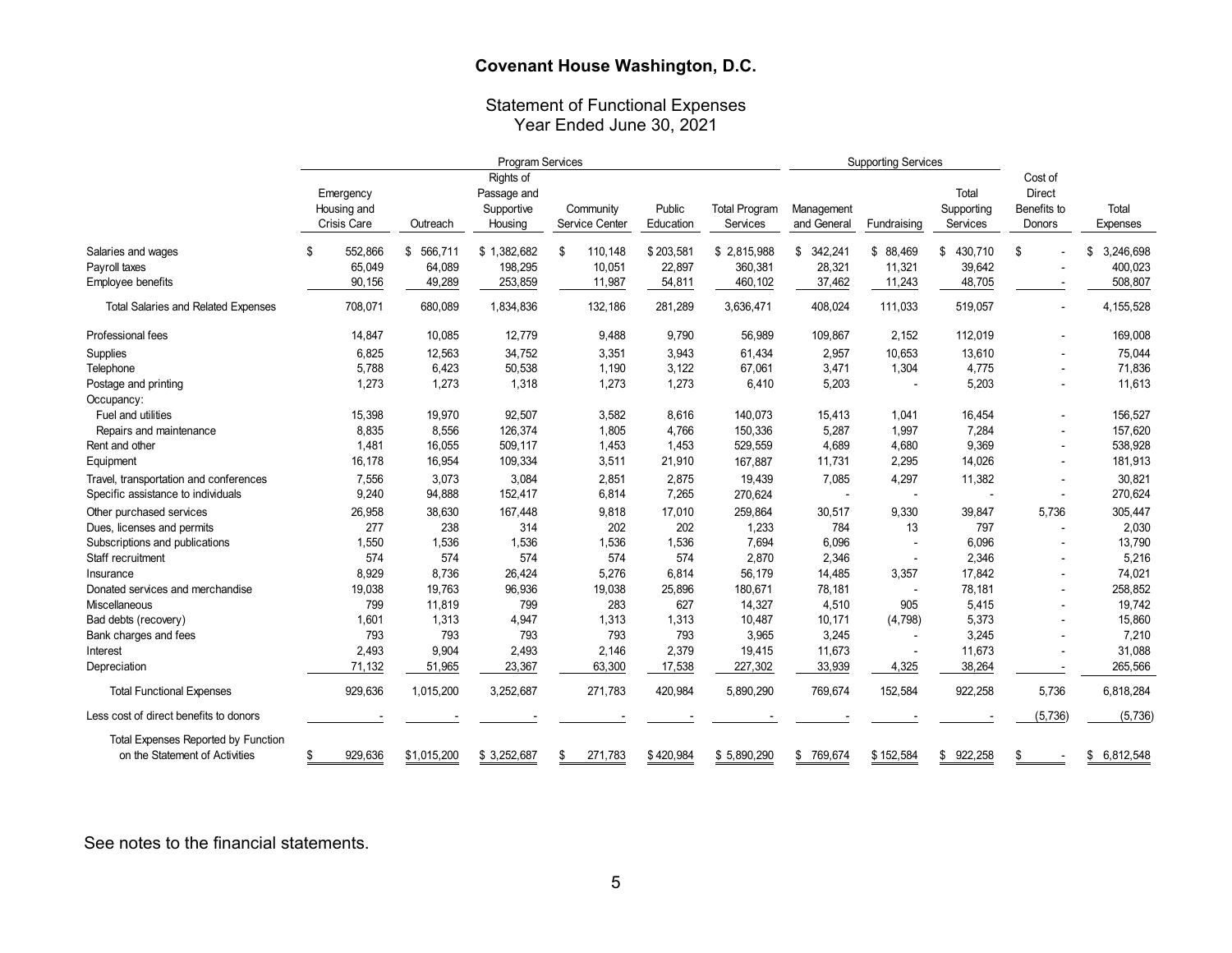# Statement of Functional Expenses Year Ended June 30, 2021

|                                            | Program Services |             |               |                          |    |                | <b>Supporting Services</b> |                      |               |             |               |                          |                 |
|--------------------------------------------|------------------|-------------|---------------|--------------------------|----|----------------|----------------------------|----------------------|---------------|-------------|---------------|--------------------------|-----------------|
|                                            |                  | Emergency   |               | Rights of<br>Passage and |    |                |                            |                      |               |             | Total         | Cost of<br><b>Direct</b> |                 |
|                                            |                  | Housing and |               | Supportive               |    | Community      | Public                     | <b>Total Program</b> | Management    |             | Supporting    | Benefits to              | Total           |
|                                            |                  | Crisis Care | Outreach      | Housing                  |    | Service Center | Education                  | Services             | and General   | Fundraising | Services      | Donors                   | Expenses        |
| Salaries and wages                         | £.               | 552,866     | 566,711<br>\$ | \$1,382,682              | \$ | 110,148        | \$203,581                  | \$2,815,988          | 342,241<br>\$ | \$ 88,469   | 430,710<br>\$ | \$                       | 3,246,698<br>\$ |
| Payroll taxes                              |                  | 65,049      | 64,089        | 198,295                  |    | 10,051         | 22,897                     | 360,381              | 28,321        | 11,321      | 39,642        |                          | 400,023         |
| Employee benefits                          |                  | 90,156      | 49,289        | 253,859                  |    | 11,987         | 54,811                     | 460,102              | 37,462        | 11,243      | 48,705        |                          | 508,807         |
| <b>Total Salaries and Related Expenses</b> |                  | 708,071     | 680,089       | 1,834,836                |    | 132,186        | 281,289                    | 3,636,471            | 408,024       | 111,033     | 519,057       | $\blacksquare$           | 4,155,528       |
| Professional fees                          |                  | 14,847      | 10,085        | 12,779                   |    | 9,488          | 9,790                      | 56,989               | 109,867       | 2,152       | 112,019       |                          | 169,008         |
| Supplies                                   |                  | 6,825       | 12,563        | 34,752                   |    | 3,351          | 3,943                      | 61,434               | 2,957         | 10,653      | 13,610        |                          | 75,044          |
| Telephone                                  |                  | 5,788       | 6,423         | 50,538                   |    | 1,190          | 3,122                      | 67,061               | 3,471         | 1,304       | 4,775         |                          | 71,836          |
| Postage and printing                       |                  | 1,273       | 1,273         | 1,318                    |    | 1,273          | 1,273                      | 6,410                | 5,203         |             | 5,203         | $\blacksquare$           | 11,613          |
| Occupancy:                                 |                  |             |               |                          |    |                |                            |                      |               |             |               |                          |                 |
| Fuel and utilities                         |                  | 15,398      | 19,970        | 92,507                   |    | 3,582          | 8,616                      | 140,073              | 15,413        | 1,041       | 16,454        |                          | 156,527         |
| Repairs and maintenance                    |                  | 8,835       | 8,556         | 126,374                  |    | 1,805          | 4,766                      | 150,336              | 5,287         | 1,997       | 7,284         | $\blacksquare$           | 157,620         |
| Rent and other                             |                  | 1,481       | 16,055        | 509,117                  |    | 1,453          | 1,453                      | 529,559              | 4,689         | 4,680       | 9,369         | $\blacksquare$           | 538,928         |
| Equipment                                  |                  | 16,178      | 16,954        | 109,334                  |    | 3,511          | 21,910                     | 167,887              | 11,731        | 2,295       | 14,026        | $\blacksquare$           | 181,913         |
| Travel, transportation and conferences     |                  | 7,556       | 3,073         | 3,084                    |    | 2,851          | 2,875                      | 19,439               | 7,085         | 4,297       | 11,382        | $\overline{\phantom{a}}$ | 30,821          |
| Specific assistance to individuals         |                  | 9,240       | 94,888        | 152,417                  |    | 6,814          | 7,265                      | 270,624              | $\sim$        |             |               | $\blacksquare$           | 270,624         |
| Other purchased services                   |                  | 26,958      | 38,630        | 167,448                  |    | 9,818          | 17,010                     | 259,864              | 30,517        | 9,330       | 39,847        | 5,736                    | 305,447         |
| Dues, licenses and permits                 |                  | 277         | 238           | 314                      |    | 202            | 202                        | 1,233                | 784           | 13          | 797           | ÷,                       | 2,030           |
| Subscriptions and publications             |                  | 1,550       | 1,536         | 1,536                    |    | 1,536          | 1,536                      | 7,694                | 6,096         |             | 6,096         |                          | 13,790          |
| Staff recruitment                          |                  | 574         | 574           | 574                      |    | 574            | 574                        | 2,870                | 2,346         |             | 2,346         |                          | 5,216           |
| Insurance                                  |                  | 8,929       | 8,736         | 26,424                   |    | 5,276          | 6,814                      | 56,179               | 14,485        | 3,357       | 17,842        |                          | 74,021          |
| Donated services and merchandise           |                  | 19,038      | 19,763        | 96,936                   |    | 19,038         | 25,896                     | 180,671              | 78,181        |             | 78,181        | $\overline{\phantom{a}}$ | 258,852         |
| Miscellaneous                              |                  | 799         | 11,819        | 799                      |    | 283            | 627                        | 14,327               | 4,510         | 905         | 5,415         |                          | 19,742          |
| Bad debts (recovery)                       |                  | 1,601       | 1,313         | 4,947                    |    | 1,313          | 1,313                      | 10,487               | 10,171        | (4,798)     | 5,373         |                          | 15,860          |
| Bank charges and fees                      |                  | 793         | 793           | 793                      |    | 793            | 793                        | 3,965                | 3,245         |             | 3,245         |                          | 7,210           |
| Interest                                   |                  | 2,493       | 9,904         | 2,493                    |    | 2,146          | 2,379                      | 19,415               | 11,673        |             | 11,673        |                          | 31,088          |
| Depreciation                               |                  | 71,132      | 51,965        | 23,367                   |    | 63,300         | 17,538                     | 227,302              | 33,939        | 4,325       | 38,264        | $\blacksquare$           | 265,566         |
| <b>Total Functional Expenses</b>           |                  | 929,636     | 1,015,200     | 3,252,687                |    | 271,783        | 420,984                    | 5,890,290            | 769,674       | 152,584     | 922,258       | 5,736                    | 6,818,284       |
| Less cost of direct benefits to donors     |                  |             |               |                          |    |                |                            |                      |               |             |               | (5,736)                  | (5,736)         |
| Total Expenses Reported by Function        |                  |             |               |                          |    |                |                            |                      |               |             |               |                          |                 |
| on the Statement of Activities             |                  | 929,636     | \$1,015,200   | \$3,252,687              | \$ | 271,783        | \$420,984                  | \$5,890,290          | \$<br>769,674 | \$152,584   | \$922,258     | S                        | 6,812,548<br>\$ |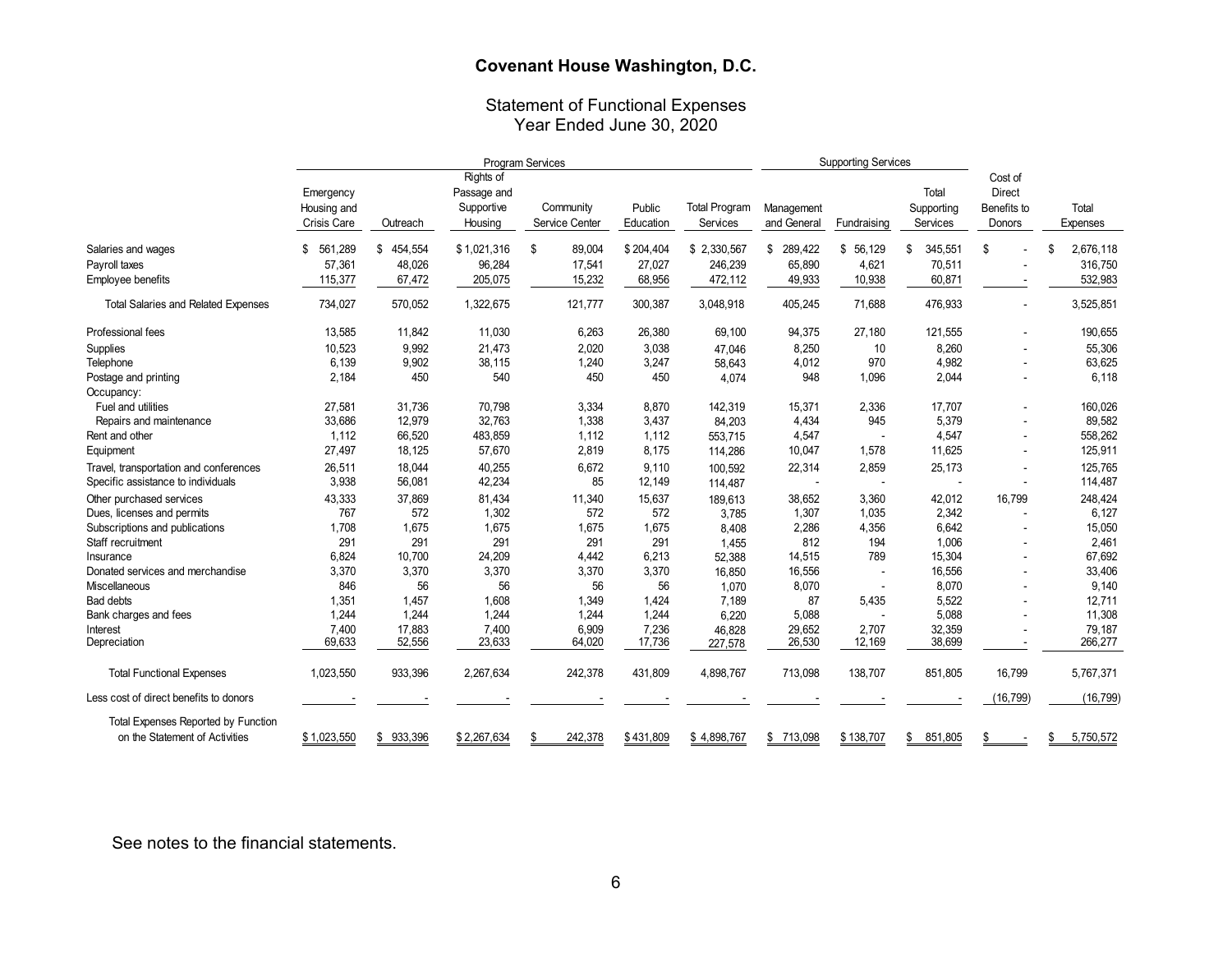# Statement of Functional Expenses Year Ended June 30, 2020

|                                            | Program Services   |               |             |                |           | <b>Supporting Services</b> |               |             |               |               |                 |
|--------------------------------------------|--------------------|---------------|-------------|----------------|-----------|----------------------------|---------------|-------------|---------------|---------------|-----------------|
|                                            |                    |               | Rights of   |                |           |                            |               |             |               | Cost of       |                 |
|                                            | Emergency          |               | Passage and |                |           |                            |               |             | Total         | <b>Direct</b> |                 |
|                                            | Housing and        |               | Supportive  | Community      | Public    | <b>Total Program</b>       | Management    |             | Supporting    | Benefits to   | Total           |
|                                            | <b>Crisis Care</b> | Outreach      | Housing     | Service Center | Education | Services                   | and General   | Fundraising | Services      | Donors        | Expenses        |
| Salaries and wages                         | 561.289<br>\$      | \$<br>454,554 | \$1,021,316 | \$<br>89,004   | \$204,404 | \$2,330,567                | 289.422<br>\$ | \$56.129    | \$<br>345,551 | \$            | 2,676,118<br>\$ |
| Payroll taxes                              | 57,361             | 48,026        | 96,284      | 17,541         | 27,027    | 246,239                    | 65,890        | 4,621       | 70,511        |               | 316,750         |
| Employee benefits                          | 115,377            | 67,472        | 205,075     | 15,232         | 68,956    | 472,112                    | 49,933        | 10,938      | 60,871        |               | 532,983         |
| <b>Total Salaries and Related Expenses</b> | 734,027            | 570,052       | 1,322,675   | 121,777        | 300,387   | 3,048,918                  | 405,245       | 71,688      | 476,933       |               | 3,525,851       |
| Professional fees                          | 13,585             | 11,842        | 11,030      | 6,263          | 26,380    | 69,100                     | 94,375        | 27,180      | 121,555       |               | 190,655         |
| Supplies                                   | 10,523             | 9,992         | 21,473      | 2,020          | 3,038     | 47,046                     | 8,250         | 10          | 8,260         |               | 55,306          |
| Telephone                                  | 6,139              | 9,902         | 38,115      | 1,240          | 3,247     | 58,643                     | 4,012         | 970         | 4,982         |               | 63,625          |
| Postage and printing                       | 2,184              | 450           | 540         | 450            | 450       | 4,074                      | 948           | 1,096       | 2,044         |               | 6,118           |
| Occupancy:                                 |                    |               |             |                |           |                            |               |             |               |               |                 |
| Fuel and utilities                         | 27,581             | 31,736        | 70,798      | 3,334          | 8,870     | 142,319                    | 15,371        | 2,336       | 17,707        |               | 160,026         |
| Repairs and maintenance                    | 33,686             | 12,979        | 32,763      | 1,338          | 3,437     | 84,203                     | 4,434         | 945         | 5,379         |               | 89,582          |
| Rent and other                             | 1,112              | 66,520        | 483,859     | 1,112          | 1,112     | 553,715                    | 4,547         |             | 4,547         |               | 558,262         |
| Equipment                                  | 27,497             | 18,125        | 57,670      | 2,819          | 8,175     | 114,286                    | 10,047        | 1,578       | 11,625        |               | 125,911         |
| Travel, transportation and conferences     | 26,511             | 18,044        | 40,255      | 6,672          | 9,110     | 100,592                    | 22,314        | 2,859       | 25,173        |               | 125,765         |
| Specific assistance to individuals         | 3,938              | 56,081        | 42,234      | 85             | 12,149    | 114,487                    |               |             |               |               | 114,487         |
| Other purchased services                   | 43,333             | 37,869        | 81,434      | 11,340         | 15,637    | 189,613                    | 38,652        | 3,360       | 42,012        | 16,799        | 248,424         |
| Dues, licenses and permits                 | 767                | 572           | 1,302       | 572            | 572       | 3,785                      | 1,307         | 1,035       | 2,342         |               | 6,127           |
| Subscriptions and publications             | 1,708              | 1,675         | 1,675       | 1,675          | 1,675     | 8,408                      | 2,286         | 4,356       | 6,642         |               | 15,050          |
| Staff recruitment                          | 291                | 291           | 291         | 291            | 291       | 1,455                      | 812           | 194         | 1,006         |               | 2,461           |
| Insurance                                  | 6,824              | 10,700        | 24,209      | 4,442          | 6,213     | 52,388                     | 14,515        | 789         | 15,304        |               | 67,692          |
| Donated services and merchandise           | 3,370              | 3,370         | 3,370       | 3,370          | 3,370     | 16,850                     | 16,556        |             | 16,556        |               | 33,406          |
| Miscellaneous                              | 846                | 56            | 56          | 56             | 56        | 1,070                      | 8,070         |             | 8,070         |               | 9,140           |
| <b>Bad debts</b>                           | 1,351              | 1,457         | 1,608       | 1,349          | 1,424     | 7,189                      | 87            | 5,435       | 5,522         |               | 12,711          |
| Bank charges and fees                      | 1,244              | 1,244         | 1,244       | 1,244          | 1,244     | 6.220                      | 5,088         |             | 5,088         |               | 11,308          |
| Interest                                   | 7,400              | 17,883        | 7,400       | 6,909          | 7,236     | 46,828                     | 29,652        | 2,707       | 32,359        |               | 79,187          |
| Depreciation                               | 69,633             | 52,556        | 23,633      | 64,020         | 17,736    | 227,578                    | 26,530        | 12,169      | 38,699        |               | 266,277         |
| <b>Total Functional Expenses</b>           | 1,023,550          | 933,396       | 2,267,634   | 242,378        | 431,809   | 4,898,767                  | 713,098       | 138,707     | 851,805       | 16,799        | 5,767,371       |
| Less cost of direct benefits to donors     |                    |               |             |                |           |                            |               |             |               | (16, 799)     | (16, 799)       |
| <b>Total Expenses Reported by Function</b> |                    |               |             |                |           |                            |               |             |               |               |                 |
| on the Statement of Activities             | \$1.023.550        | \$933,396     | \$2,267,634 | 242.378<br>\$  | \$431.809 | \$4.898.767                | \$ 713.098    | \$138,707   | \$<br>851.805 | \$            | 5.750.572<br>\$ |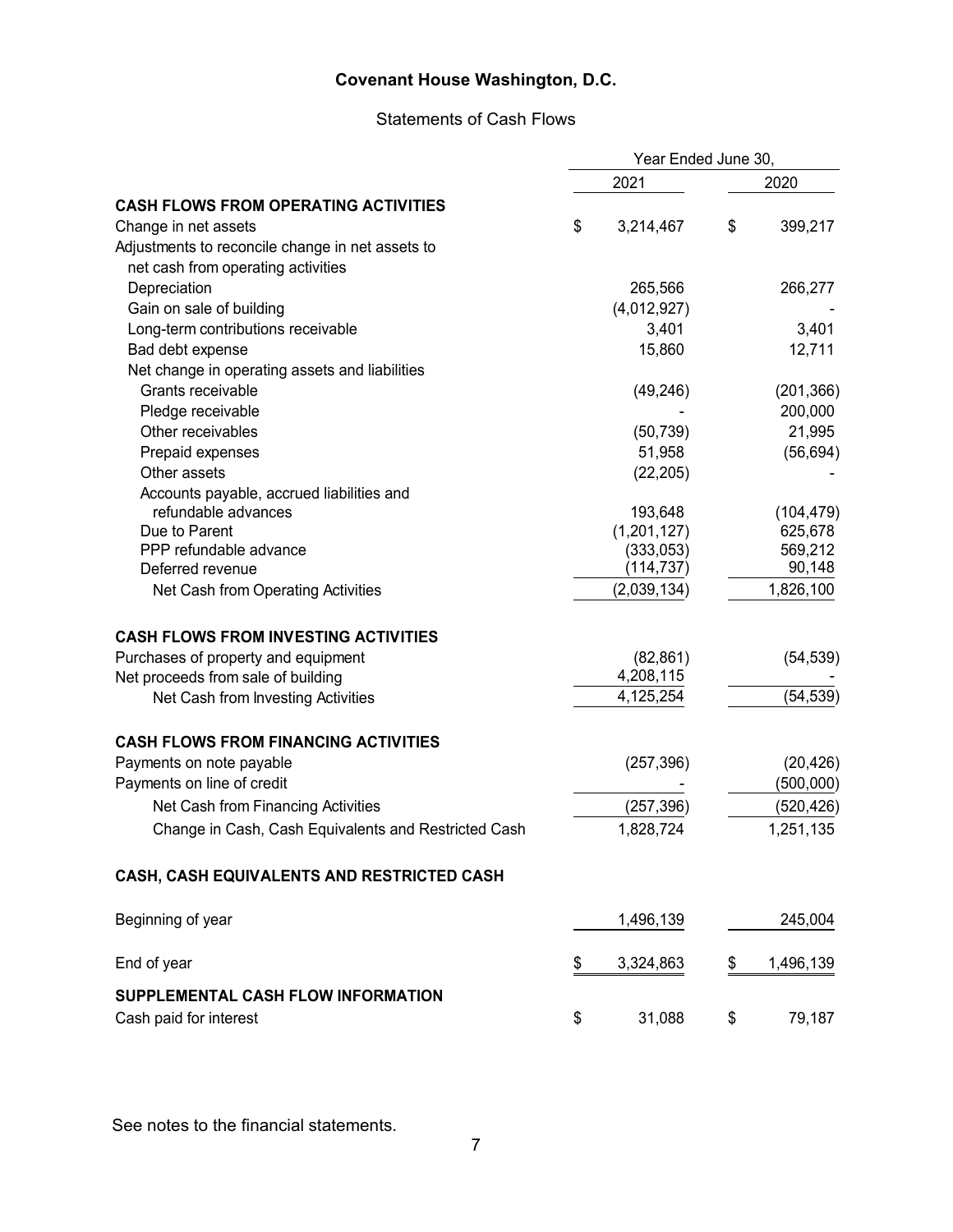# Statements of Cash Flows

|                                                      | Year Ended June 30, |             |    |            |
|------------------------------------------------------|---------------------|-------------|----|------------|
|                                                      |                     | 2021        |    | 2020       |
| <b>CASH FLOWS FROM OPERATING ACTIVITIES</b>          |                     |             |    |            |
| Change in net assets                                 | \$                  | 3,214,467   | \$ | 399,217    |
| Adjustments to reconcile change in net assets to     |                     |             |    |            |
| net cash from operating activities                   |                     |             |    |            |
| Depreciation                                         |                     | 265,566     |    | 266,277    |
| Gain on sale of building                             |                     | (4,012,927) |    |            |
| Long-term contributions receivable                   |                     | 3,401       |    | 3,401      |
| Bad debt expense                                     |                     | 15,860      |    | 12,711     |
| Net change in operating assets and liabilities       |                     |             |    |            |
| Grants receivable                                    |                     | (49, 246)   |    | (201, 366) |
| Pledge receivable                                    |                     |             |    | 200,000    |
| Other receivables                                    |                     | (50, 739)   |    | 21,995     |
| Prepaid expenses                                     |                     | 51,958      |    | (56, 694)  |
| Other assets                                         |                     | (22, 205)   |    |            |
| Accounts payable, accrued liabilities and            |                     |             |    |            |
| refundable advances                                  |                     | 193,648     |    | (104, 479) |
| Due to Parent                                        |                     | (1,201,127) |    | 625,678    |
| PPP refundable advance                               |                     | (333,053)   |    | 569,212    |
| Deferred revenue                                     |                     | (114, 737)  |    | 90,148     |
| Net Cash from Operating Activities                   |                     | (2,039,134) |    | 1,826,100  |
| <b>CASH FLOWS FROM INVESTING ACTIVITIES</b>          |                     |             |    |            |
| Purchases of property and equipment                  |                     | (82, 861)   |    | (54, 539)  |
| Net proceeds from sale of building                   |                     | 4,208,115   |    |            |
| Net Cash from Investing Activities                   |                     | 4,125,254   |    | (54, 539)  |
| <b>CASH FLOWS FROM FINANCING ACTIVITIES</b>          |                     |             |    |            |
| Payments on note payable                             |                     | (257, 396)  |    | (20, 426)  |
| Payments on line of credit                           |                     |             |    | (500,000)  |
| Net Cash from Financing Activities                   |                     | (257, 396)  |    | (520, 426) |
| Change in Cash, Cash Equivalents and Restricted Cash |                     | 1,828,724   |    | 1,251,135  |
| CASH, CASH EQUIVALENTS AND RESTRICTED CASH           |                     |             |    |            |
| Beginning of year                                    |                     | 1,496,139   |    | 245,004    |
| End of year                                          | \$                  | 3,324,863   | \$ | 1,496,139  |
| SUPPLEMENTAL CASH FLOW INFORMATION                   |                     |             |    |            |
| Cash paid for interest                               | \$                  | 31,088      | \$ | 79,187     |
|                                                      |                     |             |    |            |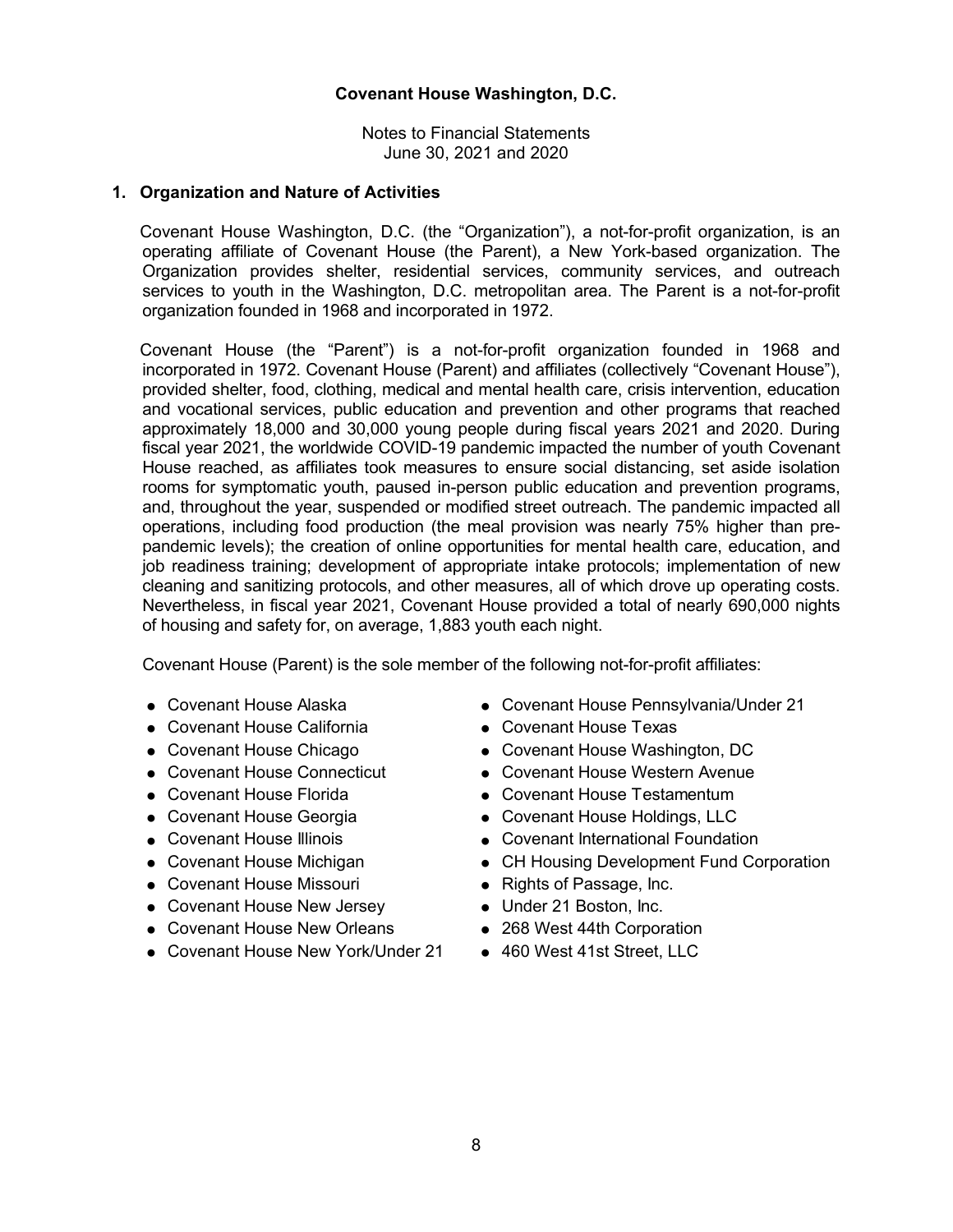Notes to Financial Statements June 30, 2021 and 2020

### **1. Organization and Nature of Activities**

Covenant House Washington, D.C. (the "Organization"), a not-for-profit organization, is an operating affiliate of Covenant House (the Parent), a New York-based organization. The Organization provides shelter, residential services, community services, and outreach services to youth in the Washington, D.C. metropolitan area. The Parent is a not-for-profit organization founded in 1968 and incorporated in 1972.

Covenant House (the "Parent") is a not-for-profit organization founded in 1968 and incorporated in 1972. Covenant House (Parent) and affiliates (collectively "Covenant House"), provided shelter, food, clothing, medical and mental health care, crisis intervention, education and vocational services, public education and prevention and other programs that reached approximately 18,000 and 30,000 young people during fiscal years 2021 and 2020. During fiscal year 2021, the worldwide COVID-19 pandemic impacted the number of youth Covenant House reached, as affiliates took measures to ensure social distancing, set aside isolation rooms for symptomatic youth, paused in-person public education and prevention programs, and, throughout the year, suspended or modified street outreach. The pandemic impacted all operations, including food production (the meal provision was nearly 75% higher than prepandemic levels); the creation of online opportunities for mental health care, education, and job readiness training; development of appropriate intake protocols; implementation of new cleaning and sanitizing protocols, and other measures, all of which drove up operating costs. Nevertheless, in fiscal year 2021, Covenant House provided a total of nearly 690,000 nights of housing and safety for, on average, 1,883 youth each night.

Covenant House (Parent) is the sole member of the following not-for-profit affiliates:

- 
- Covenant House California Covenant House Texas
- 
- 
- 
- 
- 
- 
- Covenant House Missouri Rights of Passage, Inc.
- Covenant House New Jersey Under 21 Boston, Inc.
- Covenant House New Orleans 268 West 44th Corporation
- Covenant House New York/Under 21 460 West 41st Street, LLC
- Covenant House Alaska <br>● Covenant House Alaska Covenant House Pennsylvania/Under 21
	-
- Covenant House Chicago Covenant House Washington, DC
- Covenant House Connecticut Covenant House Western Avenue
- Covenant House Florida Covenant House Testamentum
- Covenant House Georgia Covenant House Holdings, LLC
- Covenant House Illinois Covenant International Foundation
- Covenant House Michigan CH Housing Development Fund Corporation
	-
	-
	-
	-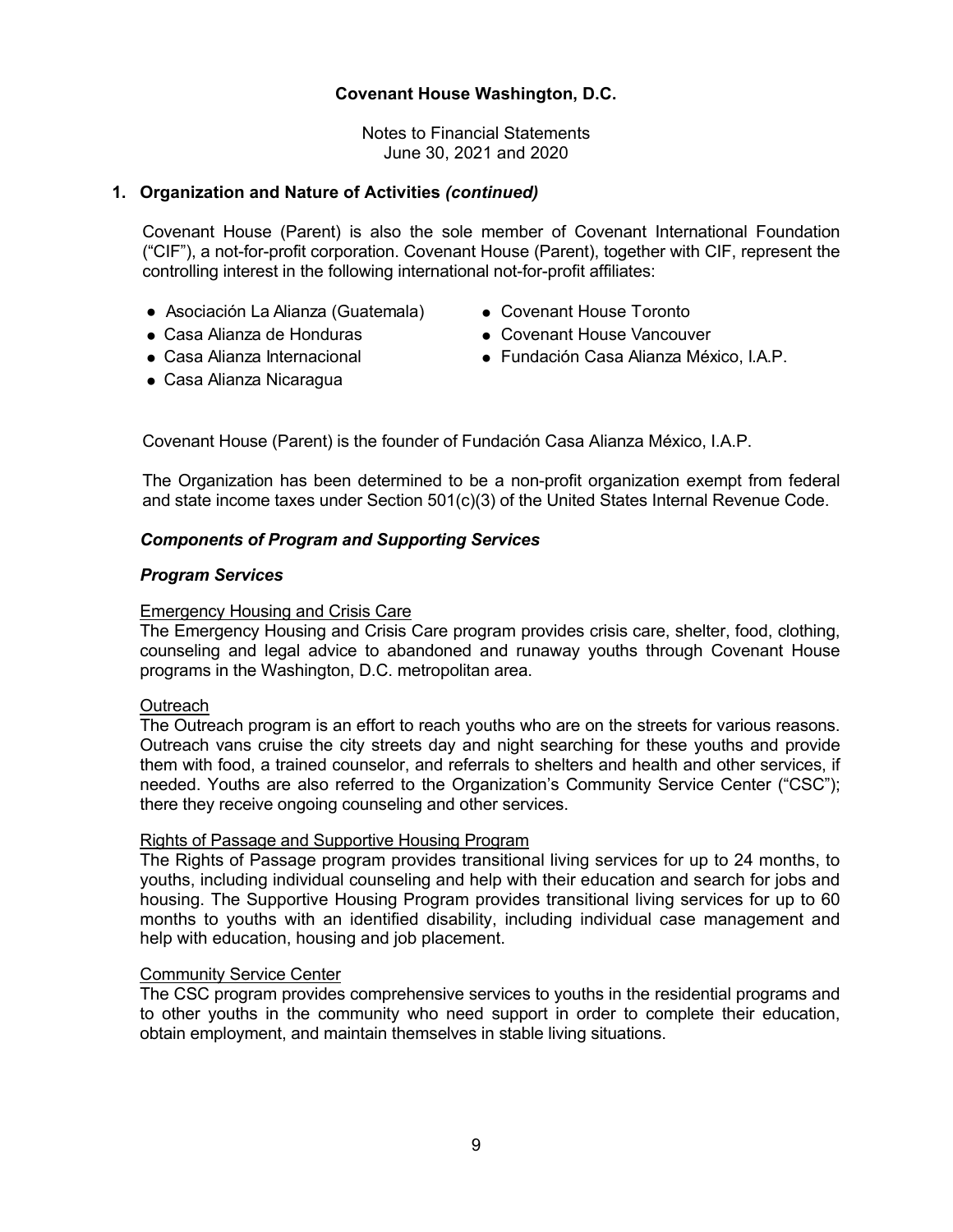Notes to Financial Statements June 30, 2021 and 2020

# **1. Organization and Nature of Activities** *(continued)*

Covenant House (Parent) is also the sole member of Covenant International Foundation ("CIF"), a not-for-profit corporation. Covenant House (Parent), together with CIF, represent the controlling interest in the following international not-for-profit affiliates:

- Asociación La Alianza (Guatemala) Covenant House Toronto
- 
- Casa Alianza Nicaragua
- 
- Casa Alianza de Honduras ● Covenant House Vancouver
- Casa Alianza Internacional Fundación Casa Alianza México, I.A.P.

Covenant House (Parent) is the founder of Fundación Casa Alianza México, I.A.P.

The Organization has been determined to be a non-profit organization exempt from federal and state income taxes under Section 501(c)(3) of the United States Internal Revenue Code.

# *Components of Program and Supporting Services*

### *Program Services*

### Emergency Housing and Crisis Care

The Emergency Housing and Crisis Care program provides crisis care, shelter, food, clothing, counseling and legal advice to abandoned and runaway youths through Covenant House programs in the Washington, D.C. metropolitan area.

# **Outreach**

The Outreach program is an effort to reach youths who are on the streets for various reasons. Outreach vans cruise the city streets day and night searching for these youths and provide them with food, a trained counselor, and referrals to shelters and health and other services, if needed. Youths are also referred to the Organization's Community Service Center ("CSC"); there they receive ongoing counseling and other services.

### Rights of Passage and Supportive Housing Program

The Rights of Passage program provides transitional living services for up to 24 months, to youths, including individual counseling and help with their education and search for jobs and housing. The Supportive Housing Program provides transitional living services for up to 60 months to youths with an identified disability, including individual case management and help with education, housing and job placement.

# **Community Service Center**

The CSC program provides comprehensive services to youths in the residential programs and to other youths in the community who need support in order to complete their education, obtain employment, and maintain themselves in stable living situations.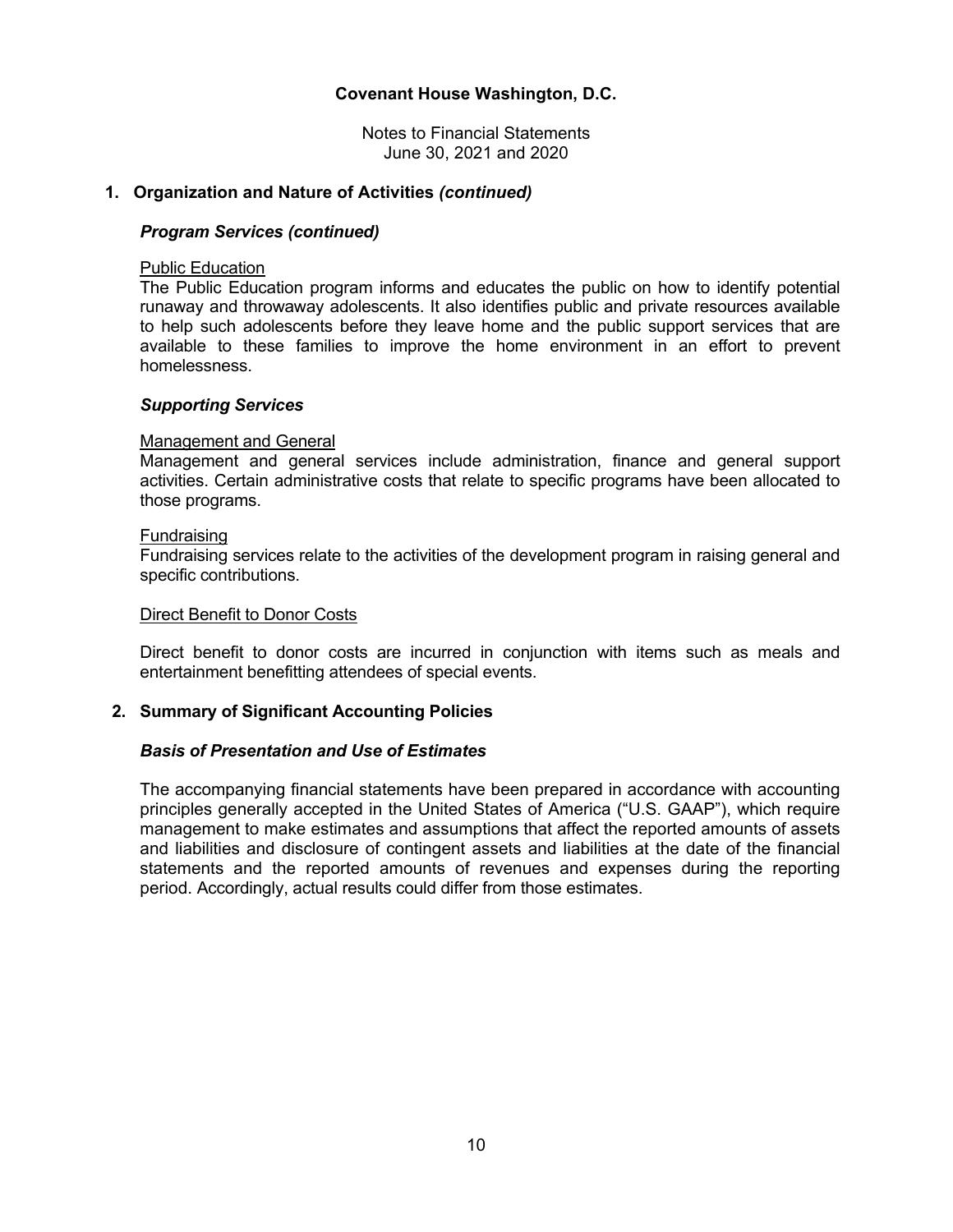Notes to Financial Statements June 30, 2021 and 2020

### **1. Organization and Nature of Activities** *(continued)*

#### *Program Services (continued)*

#### Public Education

The Public Education program informs and educates the public on how to identify potential runaway and throwaway adolescents. It also identifies public and private resources available to help such adolescents before they leave home and the public support services that are available to these families to improve the home environment in an effort to prevent homelessness.

#### *Supporting Services*

#### Management and General

Management and general services include administration, finance and general support activities. Certain administrative costs that relate to specific programs have been allocated to those programs.

#### **Fundraising**

Fundraising services relate to the activities of the development program in raising general and specific contributions.

#### Direct Benefit to Donor Costs

Direct benefit to donor costs are incurred in conjunction with items such as meals and entertainment benefitting attendees of special events.

### **2. Summary of Significant Accounting Policies**

### *Basis of Presentation and Use of Estimates*

The accompanying financial statements have been prepared in accordance with accounting principles generally accepted in the United States of America ("U.S. GAAP"), which require management to make estimates and assumptions that affect the reported amounts of assets and liabilities and disclosure of contingent assets and liabilities at the date of the financial statements and the reported amounts of revenues and expenses during the reporting period. Accordingly, actual results could differ from those estimates.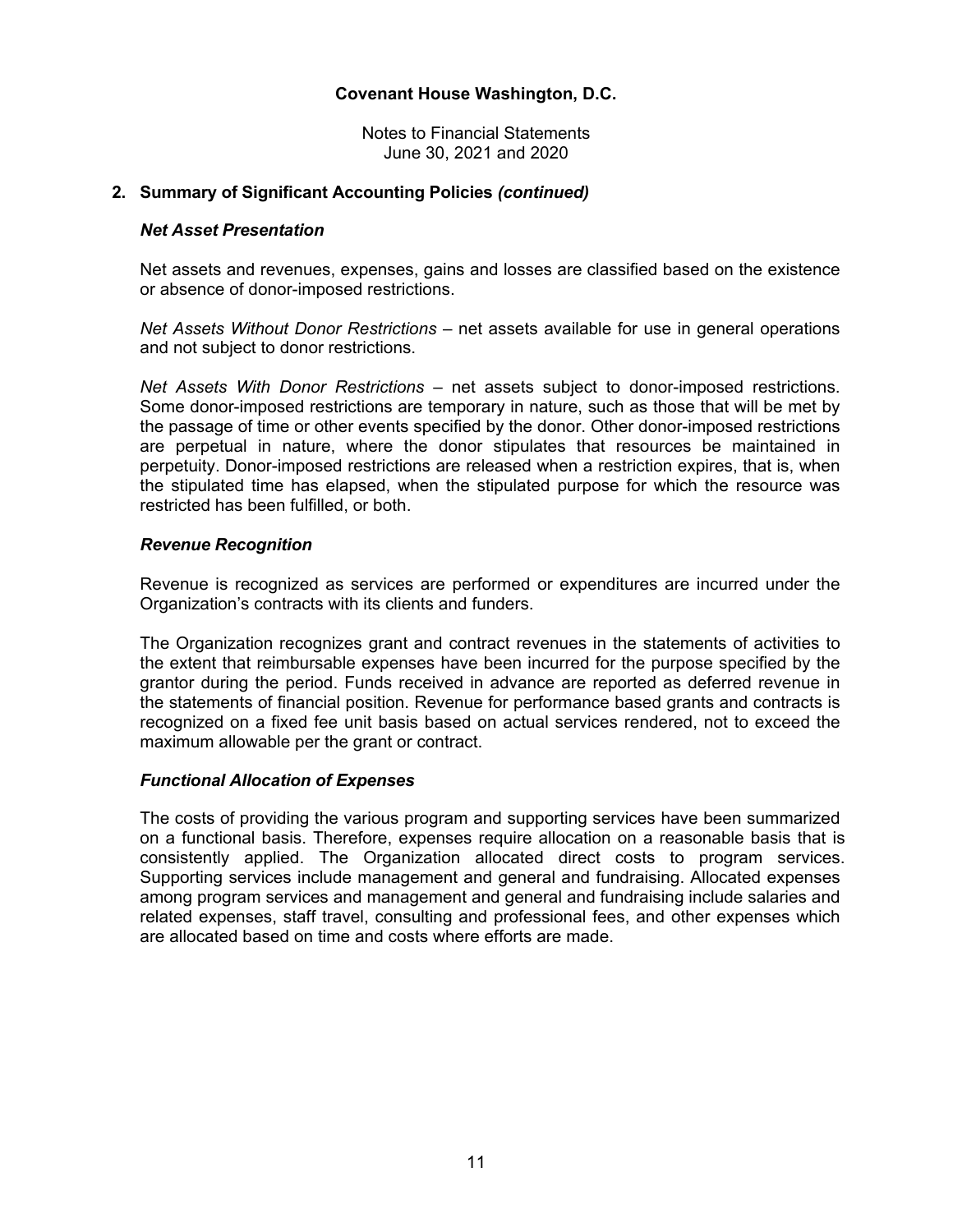Notes to Financial Statements June 30, 2021 and 2020

### **2. Summary of Significant Accounting Policies** *(continued)*

### *Net Asset Presentation*

Net assets and revenues, expenses, gains and losses are classified based on the existence or absence of donor-imposed restrictions.

*Net Assets Without Donor Restrictions* – net assets available for use in general operations and not subject to donor restrictions.

*Net Assets With Donor Restrictions* – net assets subject to donor-imposed restrictions. Some donor-imposed restrictions are temporary in nature, such as those that will be met by the passage of time or other events specified by the donor. Other donor-imposed restrictions are perpetual in nature, where the donor stipulates that resources be maintained in perpetuity. Donor-imposed restrictions are released when a restriction expires, that is, when the stipulated time has elapsed, when the stipulated purpose for which the resource was restricted has been fulfilled, or both.

# *Revenue Recognition*

Revenue is recognized as services are performed or expenditures are incurred under the Organization's contracts with its clients and funders.

The Organization recognizes grant and contract revenues in the statements of activities to the extent that reimbursable expenses have been incurred for the purpose specified by the grantor during the period. Funds received in advance are reported as deferred revenue in the statements of financial position. Revenue for performance based grants and contracts is recognized on a fixed fee unit basis based on actual services rendered, not to exceed the maximum allowable per the grant or contract.

### *Functional Allocation of Expenses*

The costs of providing the various program and supporting services have been summarized on a functional basis. Therefore, expenses require allocation on a reasonable basis that is consistently applied. The Organization allocated direct costs to program services. Supporting services include management and general and fundraising. Allocated expenses among program services and management and general and fundraising include salaries and related expenses, staff travel, consulting and professional fees, and other expenses which are allocated based on time and costs where efforts are made.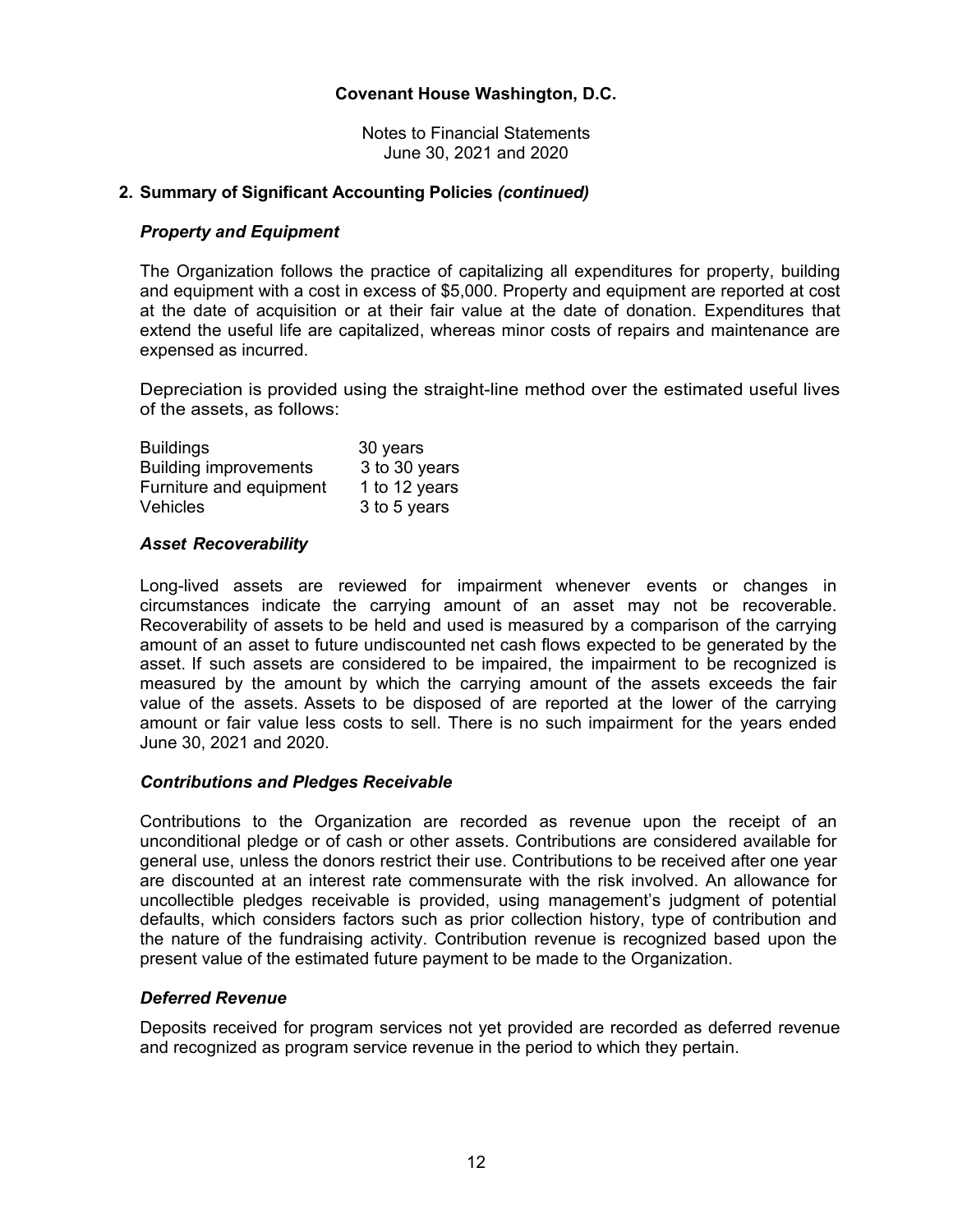Notes to Financial Statements June 30, 2021 and 2020

# **2. Summary of Significant Accounting Policies** *(continued)*

# *Property and Equipment*

The Organization follows the practice of capitalizing all expenditures for property, building and equipment with a cost in excess of \$5,000. Property and equipment are reported at cost at the date of acquisition or at their fair value at the date of donation. Expenditures that extend the useful life are capitalized, whereas minor costs of repairs and maintenance are expensed as incurred.

Depreciation is provided using the straight-line method over the estimated useful lives of the assets, as follows:

| <b>Buildings</b>             | 30 years      |
|------------------------------|---------------|
| <b>Building improvements</b> | 3 to 30 years |
| Furniture and equipment      | 1 to 12 years |
| <b>Vehicles</b>              | 3 to 5 years  |

# *Asset Recoverability*

Long-lived assets are reviewed for impairment whenever events or changes in circumstances indicate the carrying amount of an asset may not be recoverable. Recoverability of assets to be held and used is measured by a comparison of the carrying amount of an asset to future undiscounted net cash flows expected to be generated by the asset. If such assets are considered to be impaired, the impairment to be recognized is measured by the amount by which the carrying amount of the assets exceeds the fair value of the assets. Assets to be disposed of are reported at the lower of the carrying amount or fair value less costs to sell. There is no such impairment for the years ended June 30, 2021 and 2020.

### *Contributions and Pledges Receivable*

Contributions to the Organization are recorded as revenue upon the receipt of an unconditional pledge or of cash or other assets. Contributions are considered available for general use, unless the donors restrict their use. Contributions to be received after one year are discounted at an interest rate commensurate with the risk involved. An allowance for uncollectible pledges receivable is provided, using management's judgment of potential defaults, which considers factors such as prior collection history, type of contribution and the nature of the fundraising activity. Contribution revenue is recognized based upon the present value of the estimated future payment to be made to the Organization.

# *Deferred Revenue*

Deposits received for program services not yet provided are recorded as deferred revenue and recognized as program service revenue in the period to which they pertain.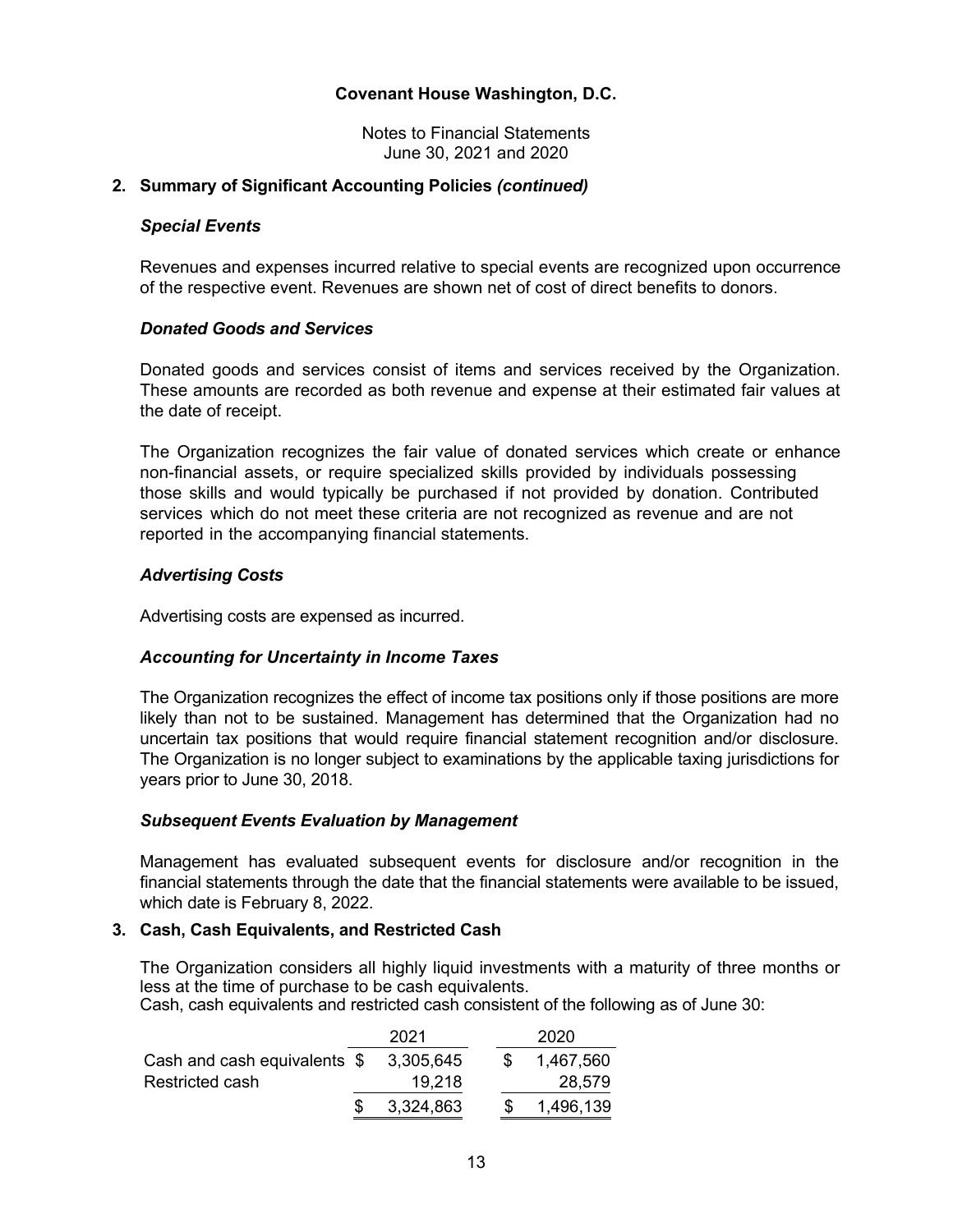Notes to Financial Statements June 30, 2021 and 2020

# **2. Summary of Significant Accounting Policies** *(continued)*

### *Special Events*

Revenues and expenses incurred relative to special events are recognized upon occurrence of the respective event. Revenues are shown net of cost of direct benefits to donors.

# *Donated Goods and Services*

Donated goods and services consist of items and services received by the Organization. These amounts are recorded as both revenue and expense at their estimated fair values at the date of receipt.

The Organization recognizes the fair value of donated services which create or enhance non-financial assets, or require specialized skills provided by individuals possessing those skills and would typically be purchased if not provided by donation. Contributed services which do not meet these criteria are not recognized as revenue and are not reported in the accompanying financial statements.

# *Advertising Costs*

Advertising costs are expensed as incurred.

### *Accounting for Uncertainty in Income Taxes*

The Organization recognizes the effect of income tax positions only if those positions are more likely than not to be sustained. Management has determined that the Organization had no uncertain tax positions that would require financial statement recognition and/or disclosure. The Organization is no longer subject to examinations by the applicable taxing jurisdictions for years prior to June 30, 2018.

### *Subsequent Events Evaluation by Management*

Management has evaluated subsequent events for disclosure and/or recognition in the financial statements through the date that the financial statements were available to be issued, which date is February 8, 2022.

### **3. Cash, Cash Equivalents, and Restricted Cash**

The Organization considers all highly liquid investments with a maturity of three months or less at the time of purchase to be cash equivalents.

Cash, cash equivalents and restricted cash consistent of the following as of June 30:

|                                        | 2021      |  | 2020      |
|----------------------------------------|-----------|--|-----------|
| Cash and cash equivalents $$3,305,645$ |           |  | 1,467,560 |
| Restricted cash                        | 19,218    |  | 28.579    |
|                                        | 3,324,863 |  | 1,496,139 |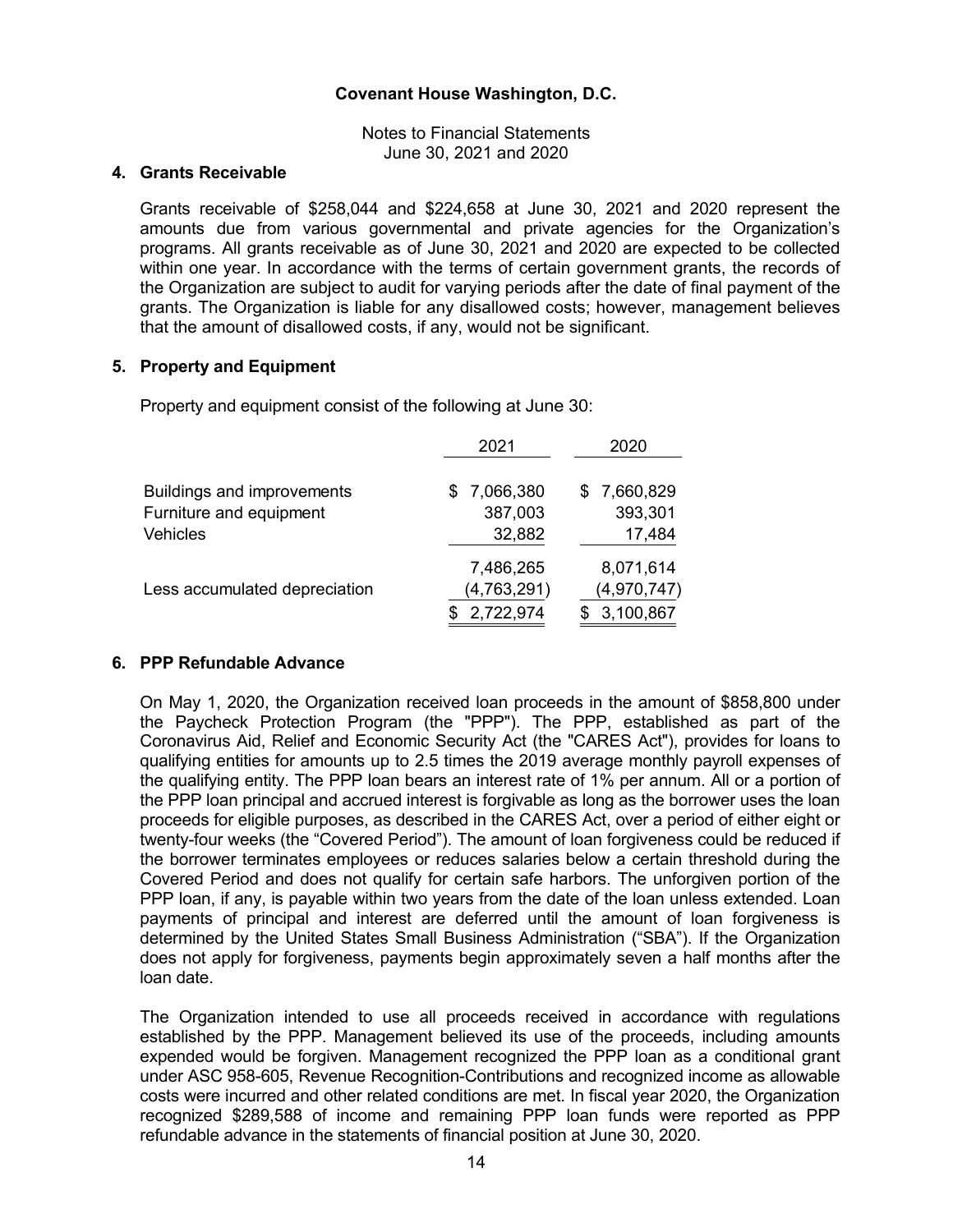Notes to Financial Statements June 30, 2021 and 2020

# **4. Grants Receivable**

Grants receivable of \$258,044 and \$224,658 at June 30, 2021 and 2020 represent the amounts due from various governmental and private agencies for the Organization's programs. All grants receivable as of June 30, 2021 and 2020 are expected to be collected within one year. In accordance with the terms of certain government grants, the records of the Organization are subject to audit for varying periods after the date of final payment of the grants. The Organization is liable for any disallowed costs; however, management believes that the amount of disallowed costs, if any, would not be significant.

### **5. Property and Equipment**

Property and equipment consist of the following at June 30:

|                               | 2021          | 2020        |
|-------------------------------|---------------|-------------|
| Buildings and improvements    | 7,066,380     | \$7,660,829 |
| Furniture and equipment       | 387,003       | 393,301     |
| <b>Vehicles</b>               | 32,882        | 17,484      |
|                               | 7,486,265     | 8,071,614   |
| Less accumulated depreciation | (4, 763, 291) | (4,970,747) |
|                               | 2,722,974     | 3,100,867   |

### **6. PPP Refundable Advance**

On May 1, 2020, the Organization received loan proceeds in the amount of \$858,800 under the Paycheck Protection Program (the "PPP"). The PPP, established as part of the Coronavirus Aid, Relief and Economic Security Act (the "CARES Act"), provides for loans to qualifying entities for amounts up to 2.5 times the 2019 average monthly payroll expenses of the qualifying entity. The PPP loan bears an interest rate of 1% per annum. All or a portion of the PPP loan principal and accrued interest is forgivable as long as the borrower uses the loan proceeds for eligible purposes, as described in the CARES Act, over a period of either eight or twenty-four weeks (the "Covered Period"). The amount of loan forgiveness could be reduced if the borrower terminates employees or reduces salaries below a certain threshold during the Covered Period and does not qualify for certain safe harbors. The unforgiven portion of the PPP loan, if any, is payable within two years from the date of the loan unless extended. Loan payments of principal and interest are deferred until the amount of loan forgiveness is determined by the United States Small Business Administration ("SBA"). If the Organization does not apply for forgiveness, payments begin approximately seven a half months after the loan date.

The Organization intended to use all proceeds received in accordance with regulations established by the PPP. Management believed its use of the proceeds, including amounts expended would be forgiven. Management recognized the PPP loan as a conditional grant under ASC 958-605, Revenue Recognition-Contributions and recognized income as allowable costs were incurred and other related conditions are met. In fiscal year 2020, the Organization recognized \$289,588 of income and remaining PPP loan funds were reported as PPP refundable advance in the statements of financial position at June 30, 2020.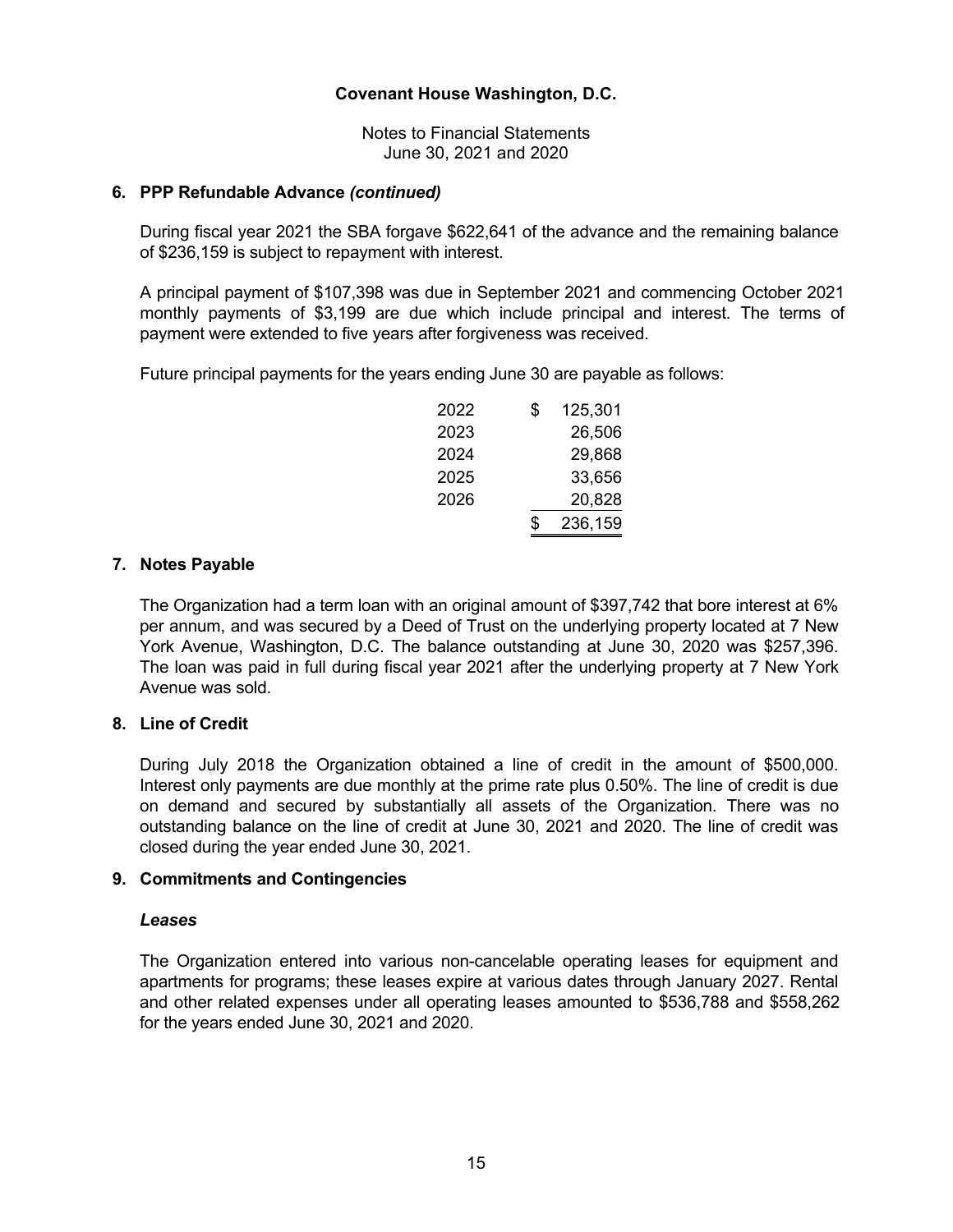Notes to Financial Statements June 30, 2021 and 2020

# **6. PPP Refundable Advance** *(continued)*

During fiscal year 2021 the SBA forgave \$622,641 of the advance and the remaining balance of \$236,159 is subject to repayment with interest.

A principal payment of \$107,398 was due in September 2021 and commencing October 2021 monthly payments of \$3,199 are due which include principal and interest. The terms of payment were extended to five years after forgiveness was received.

Future principal payments for the years ending June 30 are payable as follows:

| 2022 | \$<br>125,301 |
|------|---------------|
| 2023 | 26.506        |
| 2024 | 29.868        |
| 2025 | 33.656        |
| 2026 | 20.828        |
|      | \$<br>236,159 |

# **7. Notes Payable**

The Organization had a term loan with an original amount of \$397,742 that bore interest at 6% per annum, and was secured by a Deed of Trust on the underlying property located at 7 New York Avenue, Washington, D.C. The balance outstanding at June 30, 2020 was \$257,396. The loan was paid in full during fiscal year 2021 after the underlying property at 7 New York Avenue was sold.

# **8. Line of Credit**

During July 2018 the Organization obtained a line of credit in the amount of \$500,000. Interest only payments are due monthly at the prime rate plus 0.50%. The line of credit is due on demand and secured by substantially all assets of the Organization. There was no outstanding balance on the line of credit at June 30, 2021 and 2020. The line of credit was closed during the year ended June 30, 2021.

### **9. Commitments and Contingencies**

### *Leases*

The Organization entered into various non-cancelable operating leases for equipment and apartments for programs; these leases expire at various dates through January 2027. Rental and other related expenses under all operating leases amounted to \$536,788 and \$558,262 for the years ended June 30, 2021 and 2020.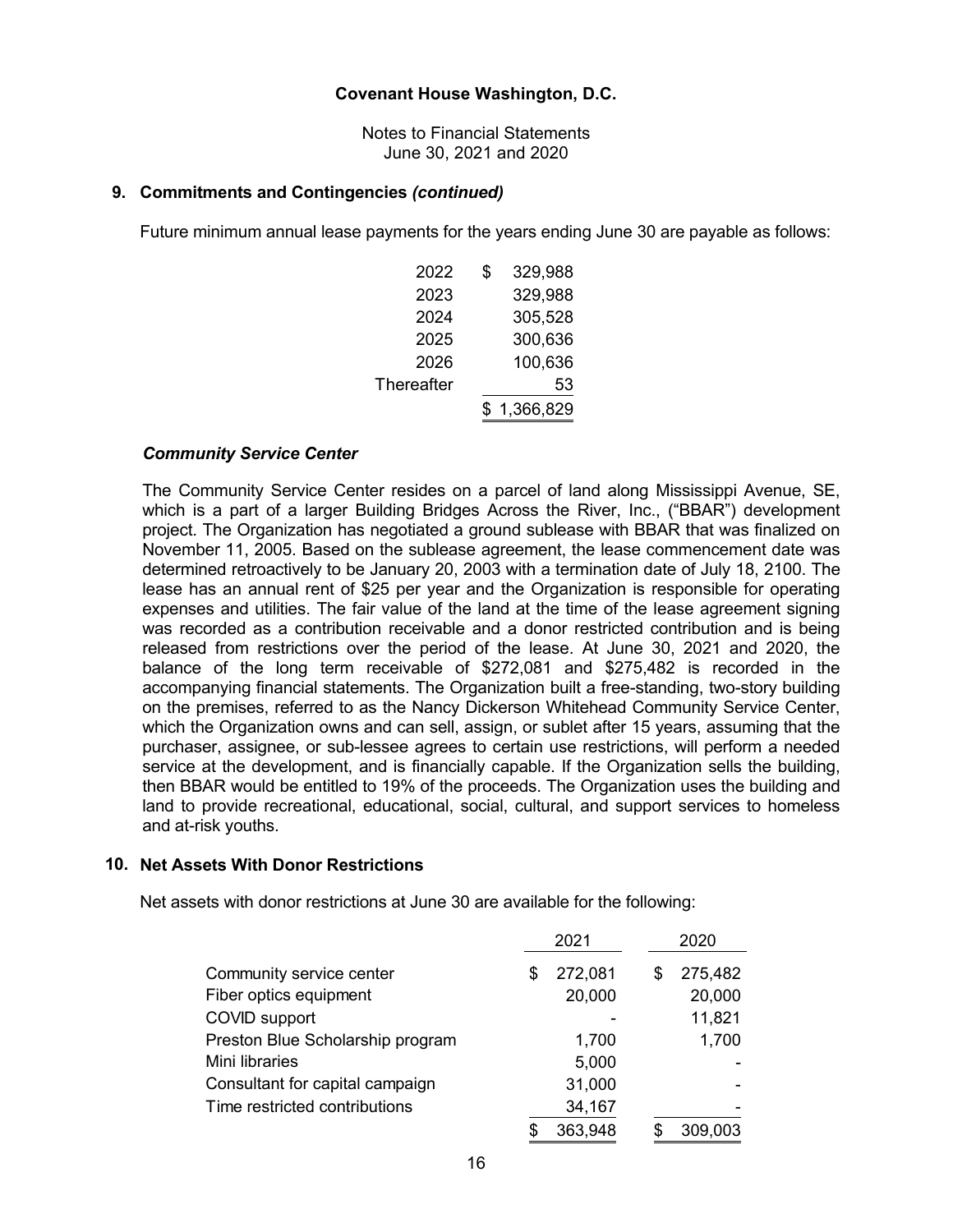Notes to Financial Statements June 30, 2021 and 2020

### **9. Commitments and Contingencies** *(continued)*

Future minimum annual lease payments for the years ending June 30 are payable as follows:

| 2022       | \$<br>329,988 |
|------------|---------------|
| 2023       | 329,988       |
| 2024       | 305,528       |
| 2025       | 300,636       |
| 2026       | 100,636       |
| Thereafter | 53            |
|            | \$1,366,829   |
|            |               |

### *Community Service Center*

The Community Service Center resides on a parcel of land along Mississippi Avenue, SE, which is a part of a larger Building Bridges Across the River, Inc., ("BBAR") development project. The Organization has negotiated a ground sublease with BBAR that was finalized on November 11, 2005. Based on the sublease agreement, the lease commencement date was determined retroactively to be January 20, 2003 with a termination date of July 18, 2100. The lease has an annual rent of \$25 per year and the Organization is responsible for operating expenses and utilities. The fair value of the land at the time of the lease agreement signing was recorded as a contribution receivable and a donor restricted contribution and is being released from restrictions over the period of the lease. At June 30, 2021 and 2020, the balance of the long term receivable of \$272,081 and \$275,482 is recorded in the accompanying financial statements. The Organization built a free-standing, two-story building on the premises, referred to as the Nancy Dickerson Whitehead Community Service Center, which the Organization owns and can sell, assign, or sublet after 15 years, assuming that the purchaser, assignee, or sub-lessee agrees to certain use restrictions, will perform a needed service at the development, and is financially capable. If the Organization sells the building, then BBAR would be entitled to 19% of the proceeds. The Organization uses the building and land to provide recreational, educational, social, cultural, and support services to homeless and at-risk youths.

#### **10. Net Assets With Donor Restrictions**

Net assets with donor restrictions at June 30 are available for the following:

|                                  | 2021 |         |  |   | 2020    |  |
|----------------------------------|------|---------|--|---|---------|--|
| Community service center         | S    | 272,081 |  | S | 275,482 |  |
| Fiber optics equipment           |      | 20,000  |  |   | 20,000  |  |
| COVID support                    |      |         |  |   | 11,821  |  |
| Preston Blue Scholarship program |      | 1,700   |  |   | 1,700   |  |
| Mini libraries                   |      | 5,000   |  |   |         |  |
| Consultant for capital campaign  |      | 31,000  |  |   |         |  |
| Time restricted contributions    |      | 34,167  |  |   |         |  |
|                                  |      | 363,948 |  |   | 309,003 |  |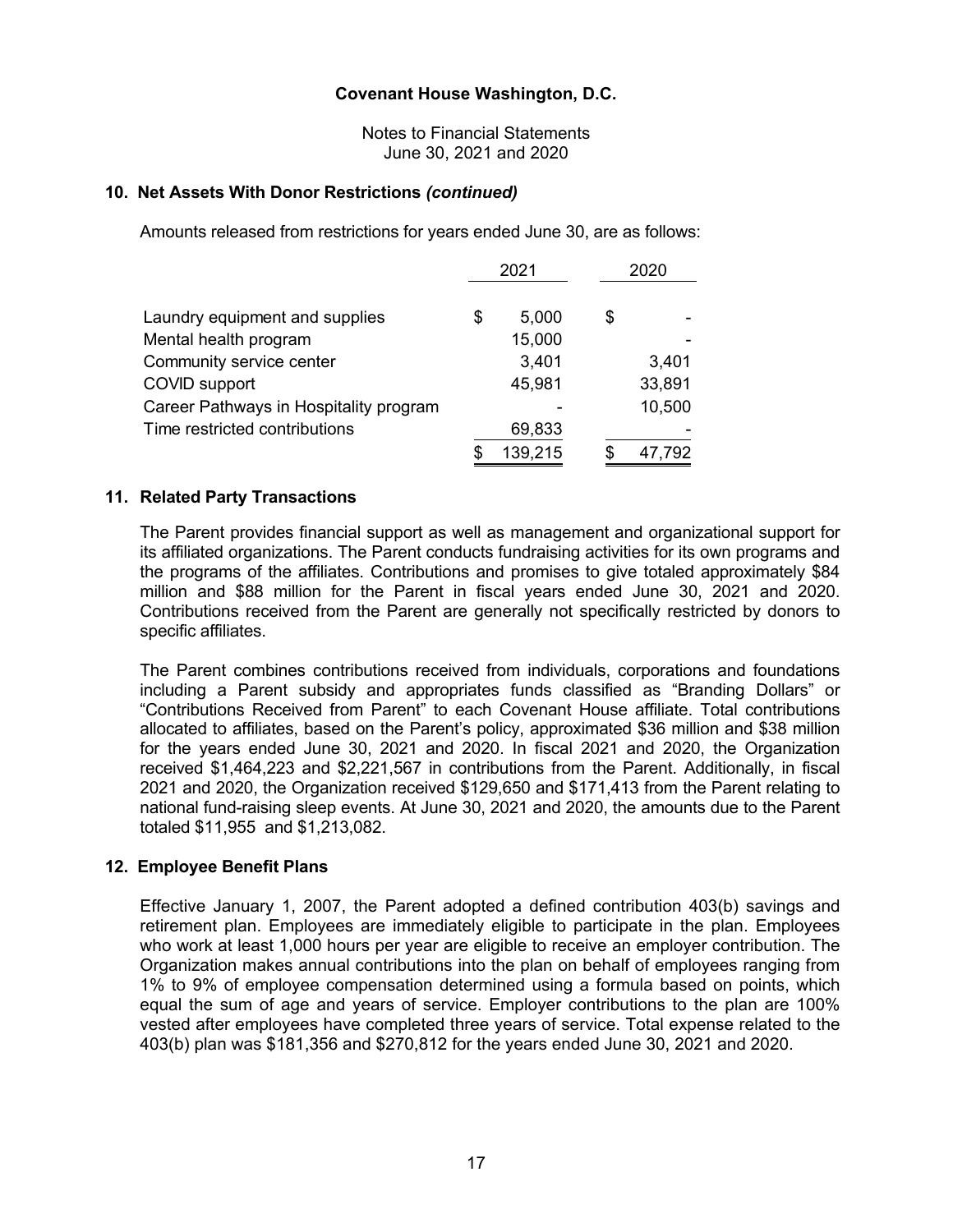Notes to Financial Statements June 30, 2021 and 2020

### **10. Net Assets With Donor Restrictions** *(continued)*

Amounts released from restrictions for years ended June 30, are as follows:

|                                        | 2021 |         |  | 2020 |        |  |
|----------------------------------------|------|---------|--|------|--------|--|
| Laundry equipment and supplies         | \$   | 5,000   |  | \$   |        |  |
| Mental health program                  |      | 15,000  |  |      |        |  |
| Community service center               |      | 3,401   |  |      | 3,401  |  |
| COVID support                          |      | 45,981  |  |      | 33,891 |  |
| Career Pathways in Hospitality program |      |         |  |      | 10,500 |  |
| Time restricted contributions          |      | 69,833  |  |      |        |  |
|                                        |      | 139,215 |  | S    | 47,792 |  |

# **11. Related Party Transactions**

The Parent provides financial support as well as management and organizational support for its affiliated organizations. The Parent conducts fundraising activities for its own programs and the programs of the affiliates. Contributions and promises to give totaled approximately \$84 million and \$88 million for the Parent in fiscal years ended June 30, 2021 and 2020. Contributions received from the Parent are generally not specifically restricted by donors to specific affiliates.

The Parent combines contributions received from individuals, corporations and foundations including a Parent subsidy and appropriates funds classified as "Branding Dollars" or "Contributions Received from Parent" to each Covenant House affiliate. Total contributions allocated to affiliates, based on the Parent's policy, approximated \$36 million and \$38 million for the years ended June 30, 2021 and 2020. In fiscal 2021 and 2020, the Organization received \$1,464,223 and \$2,221,567 in contributions from the Parent. Additionally, in fiscal 2021 and 2020, the Organization received \$129,650 and \$171,413 from the Parent relating to national fund-raising sleep events. At June 30, 2021 and 2020, the amounts due to the Parent totaled \$11,955 and \$1,213,082.

### **12. Employee Benefit Plans**

Effective January 1, 2007, the Parent adopted a defined contribution 403(b) savings and retirement plan. Employees are immediately eligible to participate in the plan. Employees who work at least 1,000 hours per year are eligible to receive an employer contribution. The Organization makes annual contributions into the plan on behalf of employees ranging from 1% to 9% of employee compensation determined using a formula based on points, which equal the sum of age and years of service. Employer contributions to the plan are 100% vested after employees have completed three years of service. Total expense related to the 403(b) plan was \$181,356 and \$270,812 for the years ended June 30, 2021 and 2020.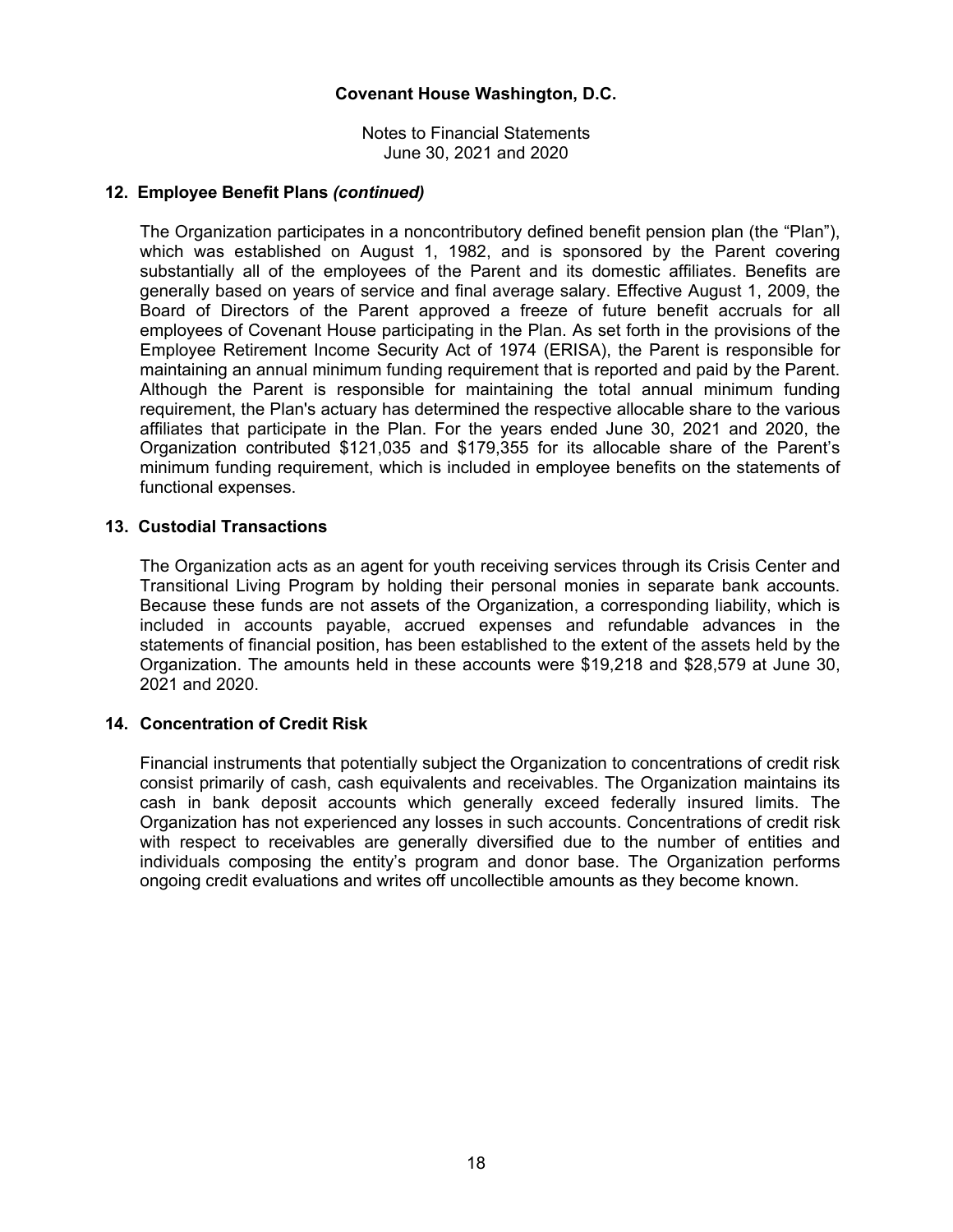Notes to Financial Statements June 30, 2021 and 2020

### **12. Employee Benefit Plans** *(continued)*

The Organization participates in a noncontributory defined benefit pension plan (the "Plan"), which was established on August 1, 1982, and is sponsored by the Parent covering substantially all of the employees of the Parent and its domestic affiliates. Benefits are generally based on years of service and final average salary. Effective August 1, 2009, the Board of Directors of the Parent approved a freeze of future benefit accruals for all employees of Covenant House participating in the Plan. As set forth in the provisions of the Employee Retirement Income Security Act of 1974 (ERISA), the Parent is responsible for maintaining an annual minimum funding requirement that is reported and paid by the Parent. Although the Parent is responsible for maintaining the total annual minimum funding requirement, the Plan's actuary has determined the respective allocable share to the various affiliates that participate in the Plan. For the years ended June 30, 2021 and 2020, the Organization contributed \$121,035 and \$179,355 for its allocable share of the Parent's minimum funding requirement, which is included in employee benefits on the statements of functional expenses.

# **13. Custodial Transactions**

The Organization acts as an agent for youth receiving services through its Crisis Center and Transitional Living Program by holding their personal monies in separate bank accounts. Because these funds are not assets of the Organization, a corresponding liability, which is included in accounts payable, accrued expenses and refundable advances in the statements of financial position, has been established to the extent of the assets held by the Organization. The amounts held in these accounts were \$19,218 and \$28,579 at June 30, 2021 and 2020.

### **14. Concentration of Credit Risk**

Financial instruments that potentially subject the Organization to concentrations of credit risk consist primarily of cash, cash equivalents and receivables. The Organization maintains its cash in bank deposit accounts which generally exceed federally insured limits. The Organization has not experienced any losses in such accounts. Concentrations of credit risk with respect to receivables are generally diversified due to the number of entities and individuals composing the entity's program and donor base. The Organization performs ongoing credit evaluations and writes off uncollectible amounts as they become known.